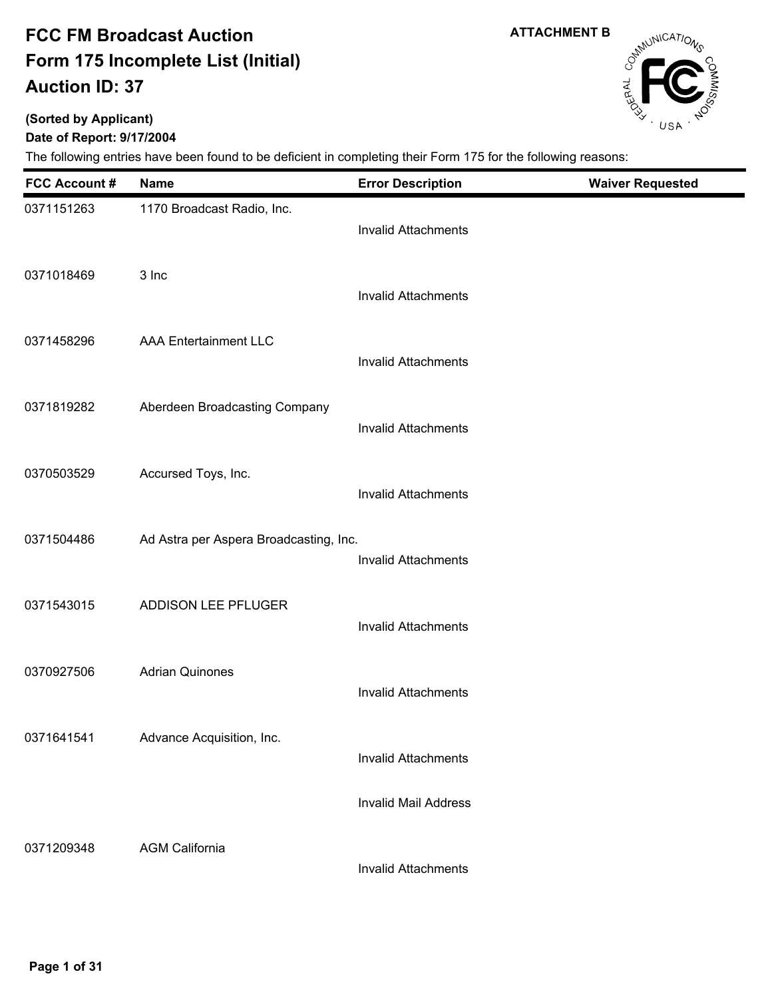**(Sorted by Applicant)**

### **Date of Report: 9/17/2004**

The following entries have been found to be deficient in completing their Form 175 for the following reasons:

| <b>FCC Account #</b> | <b>Name</b>                            | <b>Error Description</b>    | <b>Waiver Requested</b> |
|----------------------|----------------------------------------|-----------------------------|-------------------------|
| 0371151263           | 1170 Broadcast Radio, Inc.             | <b>Invalid Attachments</b>  |                         |
| 0371018469           | 3 Inc                                  | <b>Invalid Attachments</b>  |                         |
| 0371458296           | <b>AAA Entertainment LLC</b>           | <b>Invalid Attachments</b>  |                         |
| 0371819282           | Aberdeen Broadcasting Company          | <b>Invalid Attachments</b>  |                         |
| 0370503529           | Accursed Toys, Inc.                    | <b>Invalid Attachments</b>  |                         |
| 0371504486           | Ad Astra per Aspera Broadcasting, Inc. | <b>Invalid Attachments</b>  |                         |
| 0371543015           | ADDISON LEE PFLUGER                    | <b>Invalid Attachments</b>  |                         |
| 0370927506           | <b>Adrian Quinones</b>                 | <b>Invalid Attachments</b>  |                         |
| 0371641541           | Advance Acquisition, Inc.              | <b>Invalid Attachments</b>  |                         |
|                      |                                        | <b>Invalid Mail Address</b> |                         |
| 0371209348           | <b>AGM California</b>                  | <b>Invalid Attachments</b>  |                         |

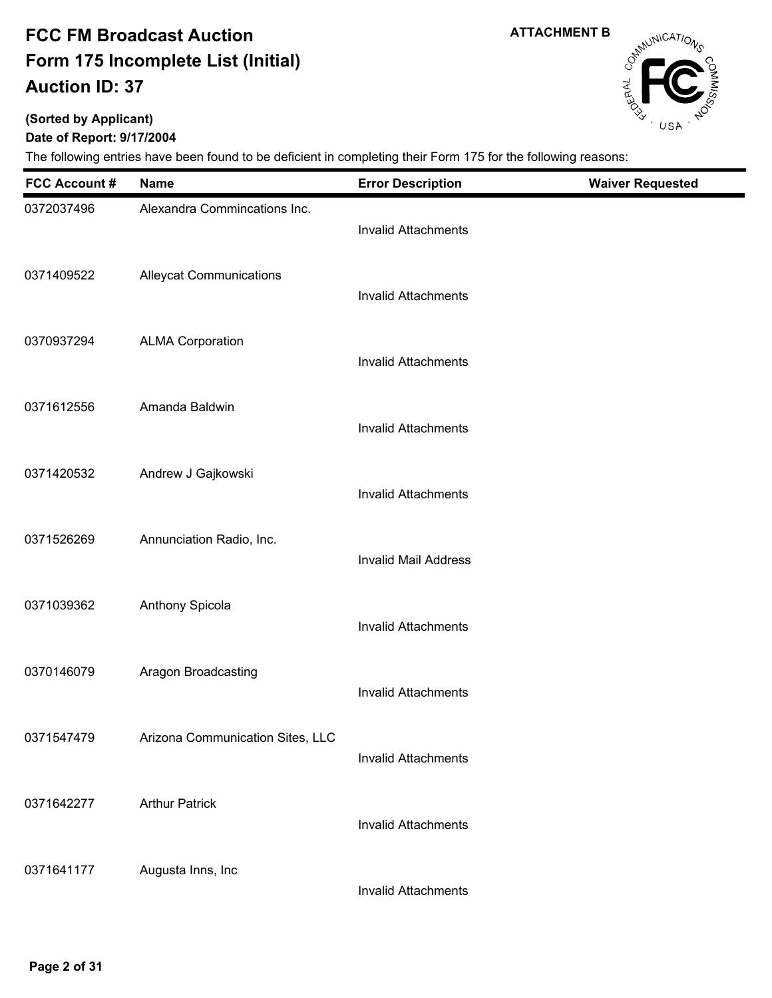**(Sorted by Applicant)**

### **Date of Report: 9/17/2004**

| <b>FCC Account #</b> | <b>Name</b>                      | <b>Error Description</b>    | <b>Waiver Requested</b> |
|----------------------|----------------------------------|-----------------------------|-------------------------|
| 0372037496           | Alexandra Commincations Inc.     | <b>Invalid Attachments</b>  |                         |
| 0371409522           | <b>Alleycat Communications</b>   | <b>Invalid Attachments</b>  |                         |
| 0370937294           | <b>ALMA Corporation</b>          | <b>Invalid Attachments</b>  |                         |
| 0371612556           | Amanda Baldwin                   | <b>Invalid Attachments</b>  |                         |
| 0371420532           | Andrew J Gajkowski               | <b>Invalid Attachments</b>  |                         |
| 0371526269           | Annunciation Radio, Inc.         | <b>Invalid Mail Address</b> |                         |
| 0371039362           | Anthony Spicola                  | <b>Invalid Attachments</b>  |                         |
| 0370146079           | Aragon Broadcasting              | <b>Invalid Attachments</b>  |                         |
| 0371547479           | Arizona Communication Sites, LLC | <b>Invalid Attachments</b>  |                         |
| 0371642277           | <b>Arthur Patrick</b>            | <b>Invalid Attachments</b>  |                         |
| 0371641177           | Augusta Inns, Inc                | <b>Invalid Attachments</b>  |                         |



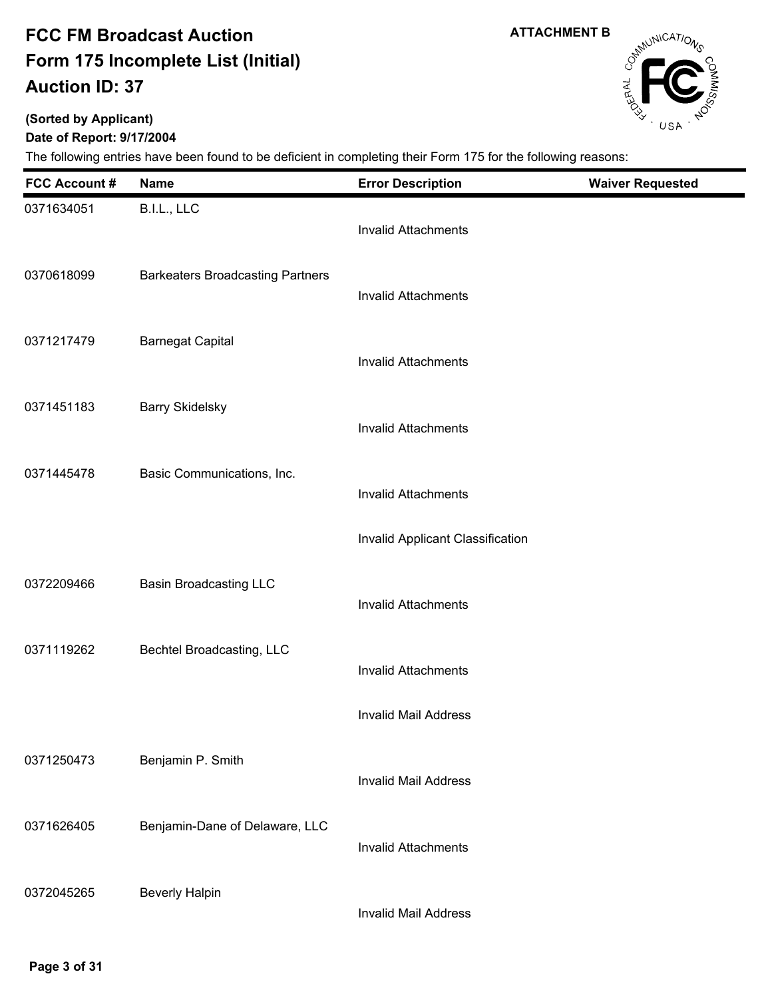**ATTACHMENT B**

# Campunications

### **(Sorted by Applicant)**

### **Date of Report: 9/17/2004**

| <b>FCC Account #</b> | <b>Name</b>                             | <b>Error Description</b>         | <b>Waiver Requested</b> |
|----------------------|-----------------------------------------|----------------------------------|-------------------------|
| 0371634051           | B.I.L., LLC                             | <b>Invalid Attachments</b>       |                         |
| 0370618099           | <b>Barkeaters Broadcasting Partners</b> | <b>Invalid Attachments</b>       |                         |
| 0371217479           | <b>Barnegat Capital</b>                 | <b>Invalid Attachments</b>       |                         |
| 0371451183           | <b>Barry Skidelsky</b>                  | <b>Invalid Attachments</b>       |                         |
| 0371445478           | Basic Communications, Inc.              | <b>Invalid Attachments</b>       |                         |
|                      |                                         | Invalid Applicant Classification |                         |
| 0372209466           | <b>Basin Broadcasting LLC</b>           | <b>Invalid Attachments</b>       |                         |
| 0371119262           | Bechtel Broadcasting, LLC               | <b>Invalid Attachments</b>       |                         |
|                      |                                         | <b>Invalid Mail Address</b>      |                         |
| 0371250473           | Benjamin P. Smith                       | <b>Invalid Mail Address</b>      |                         |
| 0371626405           | Benjamin-Dane of Delaware, LLC          | <b>Invalid Attachments</b>       |                         |
| 0372045265           | <b>Beverly Halpin</b>                   | <b>Invalid Mail Address</b>      |                         |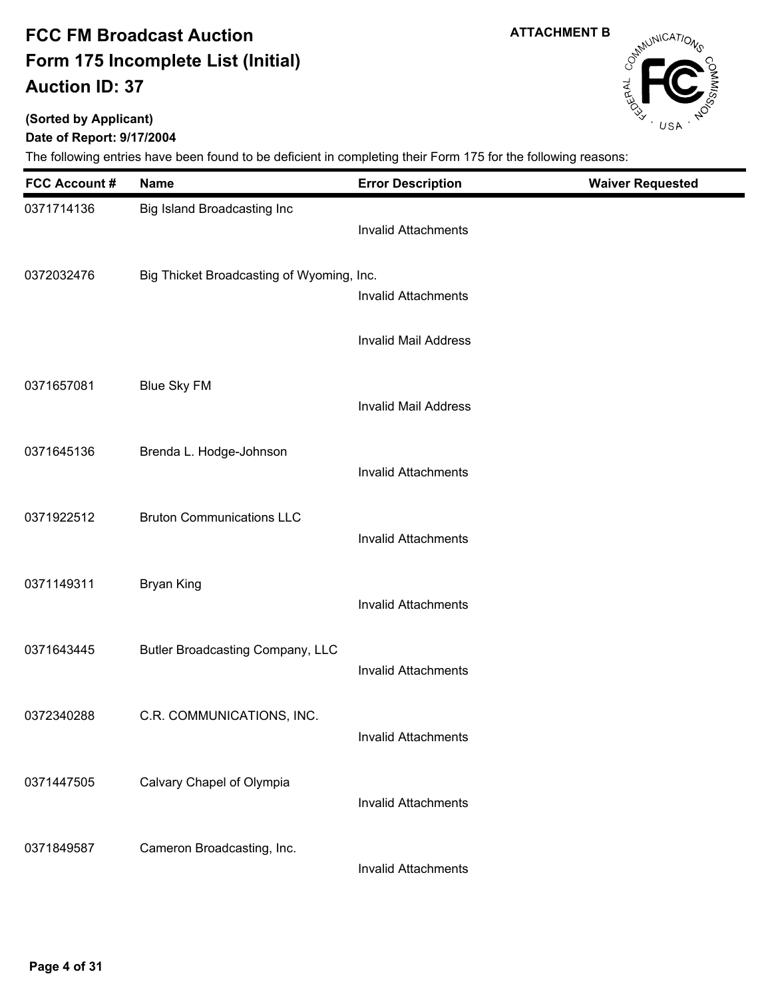## **(Sorted by Applicant)**

**Date of Report: 9/17/2004**

| <b>FCC Account #</b> | <b>Name</b>                               | <b>Error Description</b>    | <b>Waiver Requested</b> |
|----------------------|-------------------------------------------|-----------------------------|-------------------------|
| 0371714136           | Big Island Broadcasting Inc               | <b>Invalid Attachments</b>  |                         |
| 0372032476           | Big Thicket Broadcasting of Wyoming, Inc. | <b>Invalid Attachments</b>  |                         |
|                      |                                           | <b>Invalid Mail Address</b> |                         |
| 0371657081           | <b>Blue Sky FM</b>                        | <b>Invalid Mail Address</b> |                         |
| 0371645136           | Brenda L. Hodge-Johnson                   | <b>Invalid Attachments</b>  |                         |
| 0371922512           | <b>Bruton Communications LLC</b>          | <b>Invalid Attachments</b>  |                         |
| 0371149311           | <b>Bryan King</b>                         | <b>Invalid Attachments</b>  |                         |
| 0371643445           | Butler Broadcasting Company, LLC          | <b>Invalid Attachments</b>  |                         |
| 0372340288           | C.R. COMMUNICATIONS, INC.                 | <b>Invalid Attachments</b>  |                         |
| 0371447505           | Calvary Chapel of Olympia                 | <b>Invalid Attachments</b>  |                         |
| 0371849587           | Cameron Broadcasting, Inc.                | <b>Invalid Attachments</b>  |                         |



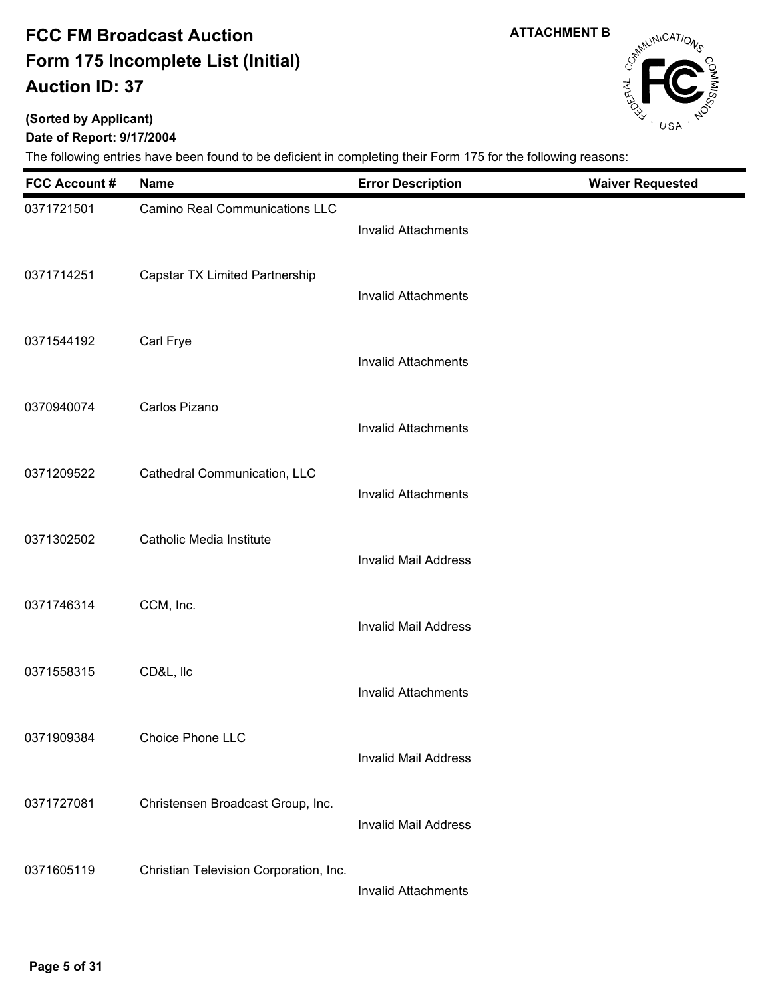**(Sorted by Applicant)**

### **Date of Report: 9/17/2004**

| <b>FCC Account #</b> | <b>Name</b>                            | <b>Error Description</b>    | <b>Waiver Requested</b> |
|----------------------|----------------------------------------|-----------------------------|-------------------------|
| 0371721501           | <b>Camino Real Communications LLC</b>  | <b>Invalid Attachments</b>  |                         |
| 0371714251           | Capstar TX Limited Partnership         | <b>Invalid Attachments</b>  |                         |
| 0371544192           | Carl Frye                              | <b>Invalid Attachments</b>  |                         |
| 0370940074           | Carlos Pizano                          | <b>Invalid Attachments</b>  |                         |
| 0371209522           | Cathedral Communication, LLC           | <b>Invalid Attachments</b>  |                         |
| 0371302502           | Catholic Media Institute               | <b>Invalid Mail Address</b> |                         |
| 0371746314           | CCM, Inc.                              | <b>Invalid Mail Address</b> |                         |
| 0371558315           | CD&L, Ilc                              | <b>Invalid Attachments</b>  |                         |
| 0371909384           | Choice Phone LLC                       | <b>Invalid Mail Address</b> |                         |
| 0371727081           | Christensen Broadcast Group, Inc.      | <b>Invalid Mail Address</b> |                         |
| 0371605119           | Christian Television Corporation, Inc. | <b>Invalid Attachments</b>  |                         |



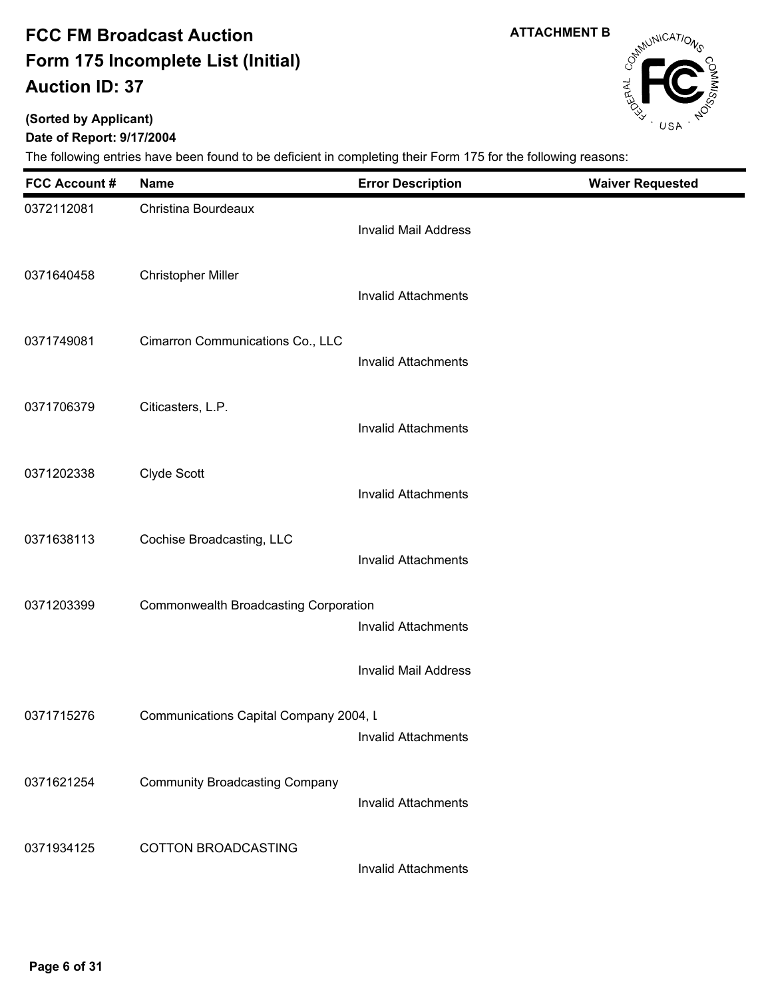**ATTACHMENT B**

# Campunications

## **(Sorted by Applicant)**

**Date of Report: 9/17/2004**

| <b>FCC Account #</b> | Name                                   | <b>Error Description</b>    | <b>Waiver Requested</b> |
|----------------------|----------------------------------------|-----------------------------|-------------------------|
| 0372112081           | Christina Bourdeaux                    | <b>Invalid Mail Address</b> |                         |
| 0371640458           | <b>Christopher Miller</b>              | <b>Invalid Attachments</b>  |                         |
| 0371749081           | Cimarron Communications Co., LLC       | <b>Invalid Attachments</b>  |                         |
| 0371706379           | Citicasters, L.P.                      | <b>Invalid Attachments</b>  |                         |
| 0371202338           | Clyde Scott                            | <b>Invalid Attachments</b>  |                         |
| 0371638113           | Cochise Broadcasting, LLC              | <b>Invalid Attachments</b>  |                         |
| 0371203399           | Commonwealth Broadcasting Corporation  | <b>Invalid Attachments</b>  |                         |
|                      |                                        | <b>Invalid Mail Address</b> |                         |
| 0371715276           | Communications Capital Company 2004, I | Invalid Attachments         |                         |
| 0371621254           | <b>Community Broadcasting Company</b>  | <b>Invalid Attachments</b>  |                         |
| 0371934125           | COTTON BROADCASTING                    | Invalid Attachments         |                         |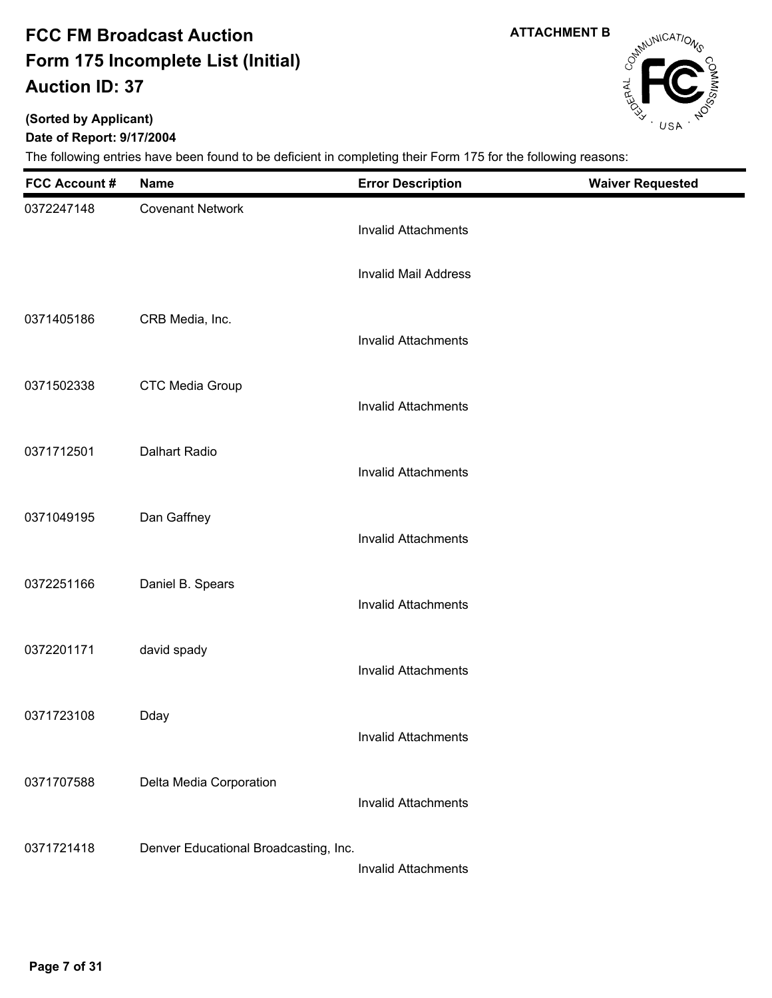**ATTACHMENT B**

# Campunications

### **(Sorted by Applicant)**

**Date of Report: 9/17/2004**

| <b>FCC Account #</b> | <b>Name</b>                           | <b>Error Description</b>    | <b>Waiver Requested</b> |
|----------------------|---------------------------------------|-----------------------------|-------------------------|
| 0372247148           | <b>Covenant Network</b>               | <b>Invalid Attachments</b>  |                         |
|                      |                                       | <b>Invalid Mail Address</b> |                         |
| 0371405186           | CRB Media, Inc.                       | <b>Invalid Attachments</b>  |                         |
| 0371502338           | <b>CTC Media Group</b>                | <b>Invalid Attachments</b>  |                         |
| 0371712501           | <b>Dalhart Radio</b>                  | <b>Invalid Attachments</b>  |                         |
| 0371049195           | Dan Gaffney                           | <b>Invalid Attachments</b>  |                         |
| 0372251166           | Daniel B. Spears                      | <b>Invalid Attachments</b>  |                         |
| 0372201171           | david spady                           | <b>Invalid Attachments</b>  |                         |
| 0371723108           | Dday                                  | <b>Invalid Attachments</b>  |                         |
| 0371707588           | Delta Media Corporation               | <b>Invalid Attachments</b>  |                         |
| 0371721418           | Denver Educational Broadcasting, Inc. | <b>Invalid Attachments</b>  |                         |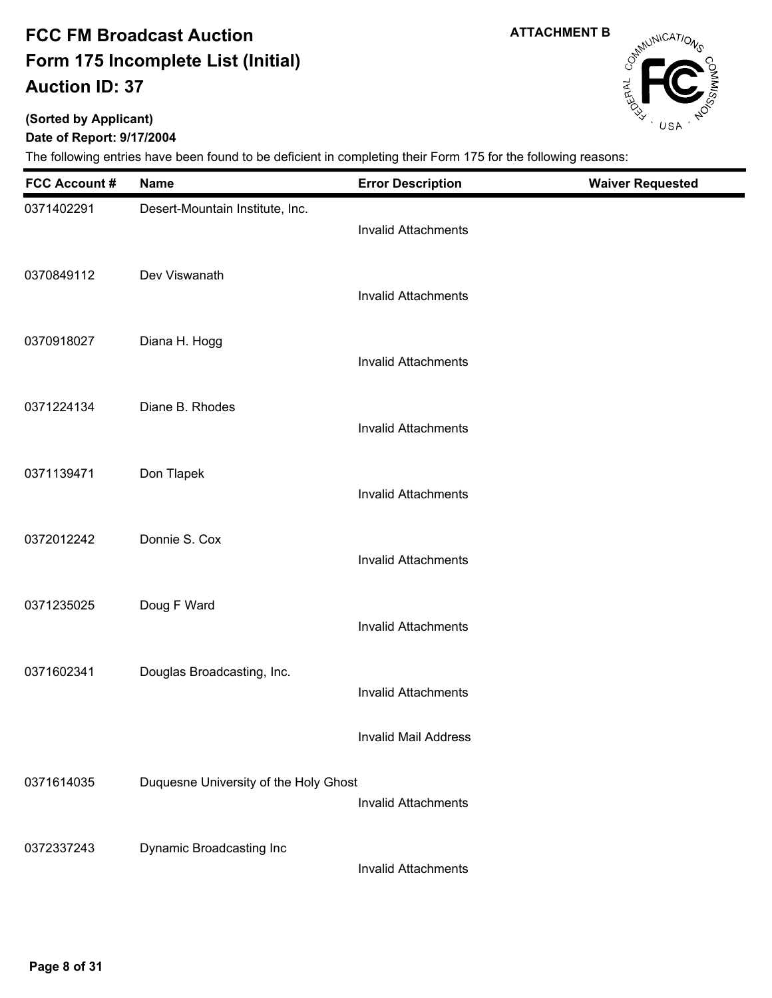**(Sorted by Applicant)**

### **Date of Report: 9/17/2004**

The following entries have been found to be deficient in completing their Form 175 for the following reasons:

| <b>FCC Account#</b> | <b>Name</b>                           | <b>Error Description</b>   | <b>Waiver Requested</b> |
|---------------------|---------------------------------------|----------------------------|-------------------------|
| 0371402291          | Desert-Mountain Institute, Inc.       | <b>Invalid Attachments</b> |                         |
| 0370849112          | Dev Viswanath                         | <b>Invalid Attachments</b> |                         |
| 0370918027          | Diana H. Hogg                         | <b>Invalid Attachments</b> |                         |
| 0371224134          | Diane B. Rhodes                       | <b>Invalid Attachments</b> |                         |
| 0371139471          | Don Tlapek                            | <b>Invalid Attachments</b> |                         |
| 0372012242          | Donnie S. Cox                         | <b>Invalid Attachments</b> |                         |
| 0371235025          | Doug F Ward                           | <b>Invalid Attachments</b> |                         |
| 0371602341          | Douglas Broadcasting, Inc.            | <b>Invalid Attachments</b> |                         |
|                     |                                       | Invalid Mail Address       |                         |
| 0371614035          | Duquesne University of the Holy Ghost | <b>Invalid Attachments</b> |                         |
| 0372337243          | Dynamic Broadcasting Inc              | Invalid Attachments        |                         |

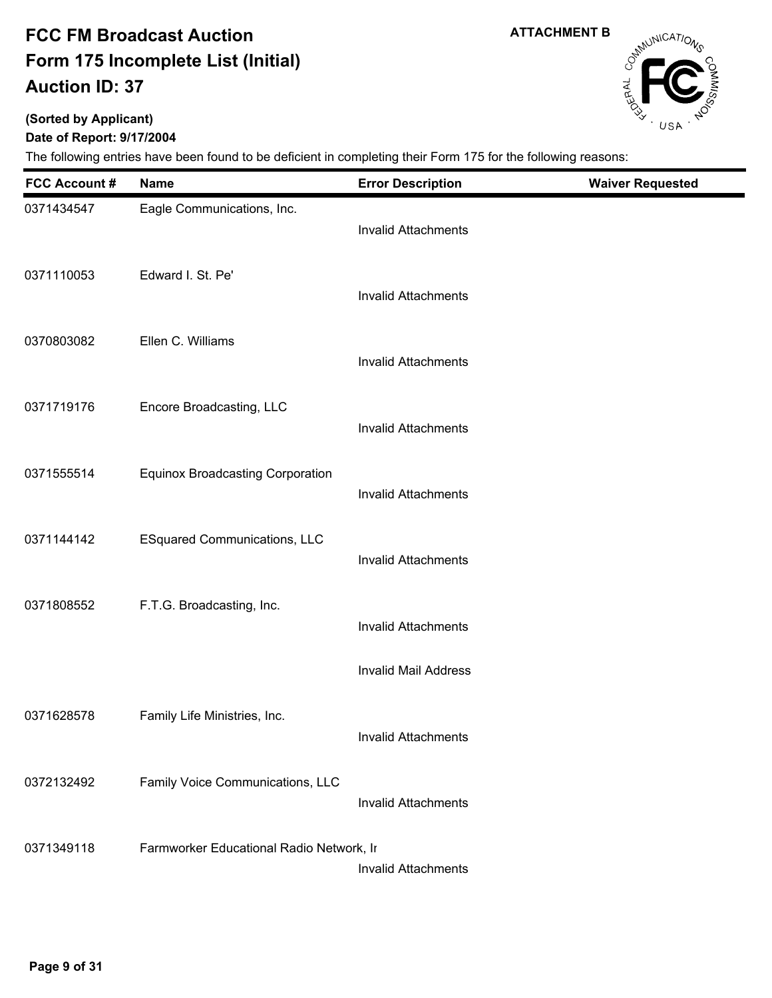# **(Sorted by Applicant)**

**Date of Report: 9/17/2004**

| <b>FCC Account #</b> | <b>Name</b>                              | <b>Error Description</b>    | <b>Waiver Requested</b> |
|----------------------|------------------------------------------|-----------------------------|-------------------------|
| 0371434547           | Eagle Communications, Inc.               | <b>Invalid Attachments</b>  |                         |
| 0371110053           | Edward I. St. Pe'                        | <b>Invalid Attachments</b>  |                         |
| 0370803082           | Ellen C. Williams                        | <b>Invalid Attachments</b>  |                         |
| 0371719176           | Encore Broadcasting, LLC                 | <b>Invalid Attachments</b>  |                         |
| 0371555514           | <b>Equinox Broadcasting Corporation</b>  | <b>Invalid Attachments</b>  |                         |
| 0371144142           | <b>ESquared Communications, LLC</b>      | <b>Invalid Attachments</b>  |                         |
| 0371808552           | F.T.G. Broadcasting, Inc.                | <b>Invalid Attachments</b>  |                         |
|                      |                                          | <b>Invalid Mail Address</b> |                         |
| 0371628578           | Family Life Ministries, Inc.             | Invalid Attachments         |                         |
| 0372132492           | Family Voice Communications, LLC         | <b>Invalid Attachments</b>  |                         |
| 0371349118           | Farmworker Educational Radio Network, In | <b>Invalid Attachments</b>  |                         |



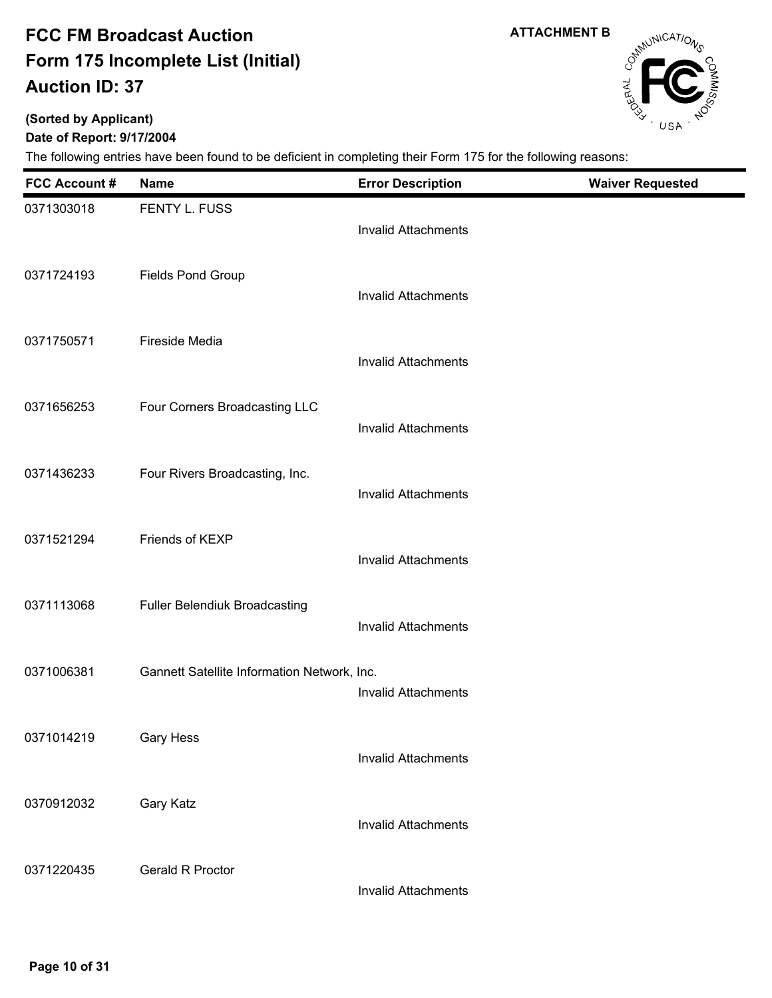**ATTACHMENT B**

# Campunications

### **(Sorted by Applicant)**

### **Date of Report: 9/17/2004**

| <b>FCC Account #</b> | <b>Name</b>                                 | <b>Error Description</b>   | <b>Waiver Requested</b> |
|----------------------|---------------------------------------------|----------------------------|-------------------------|
| 0371303018           | FENTY L. FUSS                               | <b>Invalid Attachments</b> |                         |
| 0371724193           | <b>Fields Pond Group</b>                    | <b>Invalid Attachments</b> |                         |
| 0371750571           | Fireside Media                              | <b>Invalid Attachments</b> |                         |
| 0371656253           | Four Corners Broadcasting LLC               | <b>Invalid Attachments</b> |                         |
| 0371436233           | Four Rivers Broadcasting, Inc.              | <b>Invalid Attachments</b> |                         |
| 0371521294           | Friends of KEXP                             | <b>Invalid Attachments</b> |                         |
| 0371113068           | <b>Fuller Belendiuk Broadcasting</b>        | <b>Invalid Attachments</b> |                         |
| 0371006381           | Gannett Satellite Information Network, Inc. | <b>Invalid Attachments</b> |                         |
| 0371014219           | Gary Hess                                   | <b>Invalid Attachments</b> |                         |
| 0370912032           | Gary Katz                                   | <b>Invalid Attachments</b> |                         |
| 0371220435           | <b>Gerald R Proctor</b>                     | <b>Invalid Attachments</b> |                         |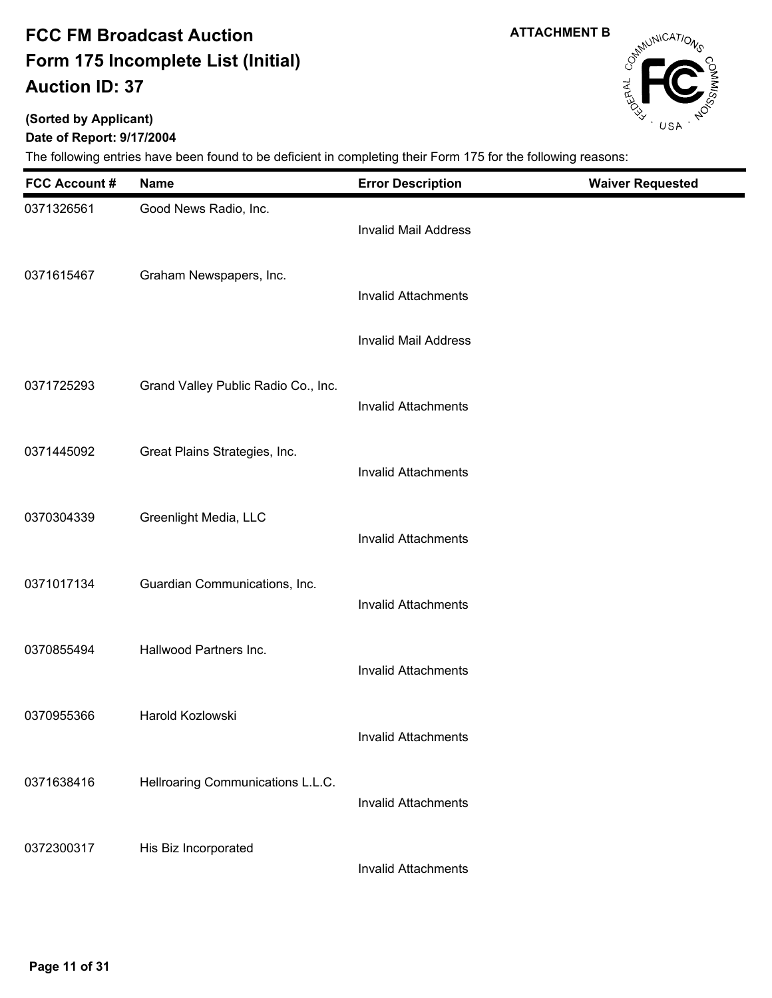**ATTACHMENT B**

# Campunications

## **(Sorted by Applicant)**

### **Date of Report: 9/17/2004**

| <b>FCC Account #</b> | <b>Name</b>                         | <b>Error Description</b>    | <b>Waiver Requested</b> |
|----------------------|-------------------------------------|-----------------------------|-------------------------|
| 0371326561           | Good News Radio, Inc.               | <b>Invalid Mail Address</b> |                         |
| 0371615467           | Graham Newspapers, Inc.             | <b>Invalid Attachments</b>  |                         |
|                      |                                     | <b>Invalid Mail Address</b> |                         |
| 0371725293           | Grand Valley Public Radio Co., Inc. | <b>Invalid Attachments</b>  |                         |
| 0371445092           | Great Plains Strategies, Inc.       | <b>Invalid Attachments</b>  |                         |
| 0370304339           | Greenlight Media, LLC               | <b>Invalid Attachments</b>  |                         |
| 0371017134           | Guardian Communications, Inc.       | <b>Invalid Attachments</b>  |                         |
| 0370855494           | Hallwood Partners Inc.              | <b>Invalid Attachments</b>  |                         |
| 0370955366           | Harold Kozlowski                    | Invalid Attachments         |                         |
| 0371638416           | Hellroaring Communications L.L.C.   | <b>Invalid Attachments</b>  |                         |
| 0372300317           | His Biz Incorporated                | <b>Invalid Attachments</b>  |                         |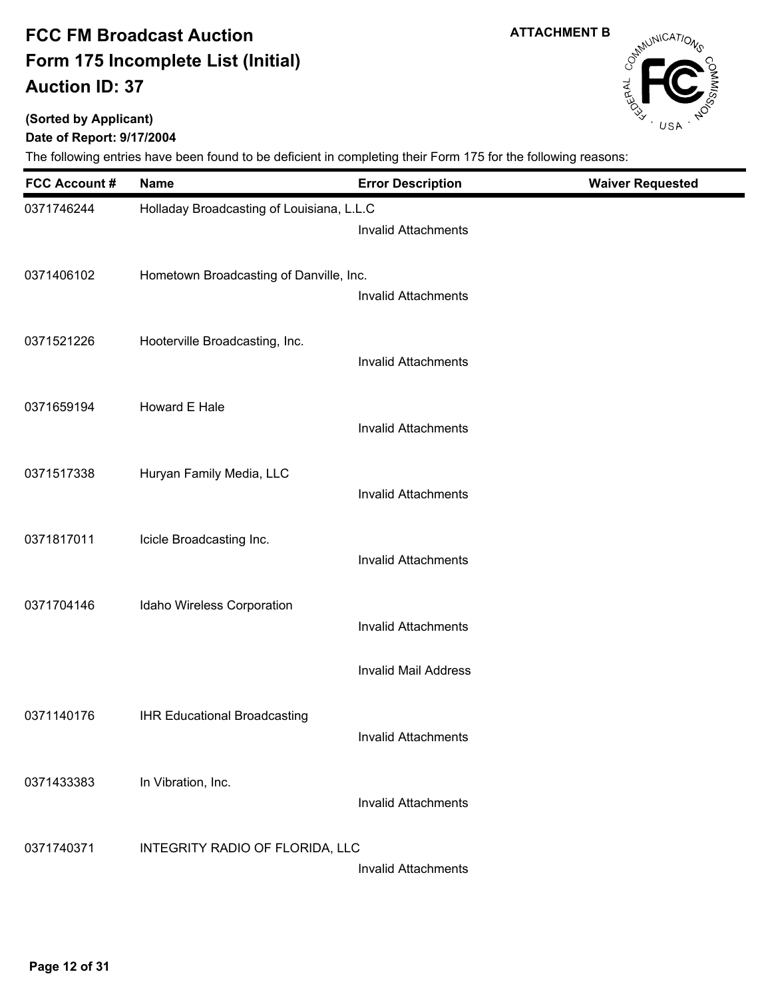**(Sorted by Applicant)**

### **Date of Report: 9/17/2004**

| <b>FCC Account #</b> | <b>Name</b>                               | <b>Error Description</b>    | <b>Waiver Requested</b> |
|----------------------|-------------------------------------------|-----------------------------|-------------------------|
| 0371746244           | Holladay Broadcasting of Louisiana, L.L.C | <b>Invalid Attachments</b>  |                         |
| 0371406102           | Hometown Broadcasting of Danville, Inc.   | <b>Invalid Attachments</b>  |                         |
| 0371521226           | Hooterville Broadcasting, Inc.            | <b>Invalid Attachments</b>  |                         |
| 0371659194           | Howard E Hale                             | <b>Invalid Attachments</b>  |                         |
| 0371517338           | Huryan Family Media, LLC                  | <b>Invalid Attachments</b>  |                         |
| 0371817011           | Icicle Broadcasting Inc.                  | <b>Invalid Attachments</b>  |                         |
| 0371704146           | Idaho Wireless Corporation                | <b>Invalid Attachments</b>  |                         |
|                      |                                           | <b>Invalid Mail Address</b> |                         |
| 0371140176           | <b>IHR Educational Broadcasting</b>       | <b>Invalid Attachments</b>  |                         |
| 0371433383           | In Vibration, Inc.                        | <b>Invalid Attachments</b>  |                         |
| 0371740371           | INTEGRITY RADIO OF FLORIDA, LLC           | <b>Invalid Attachments</b>  |                         |



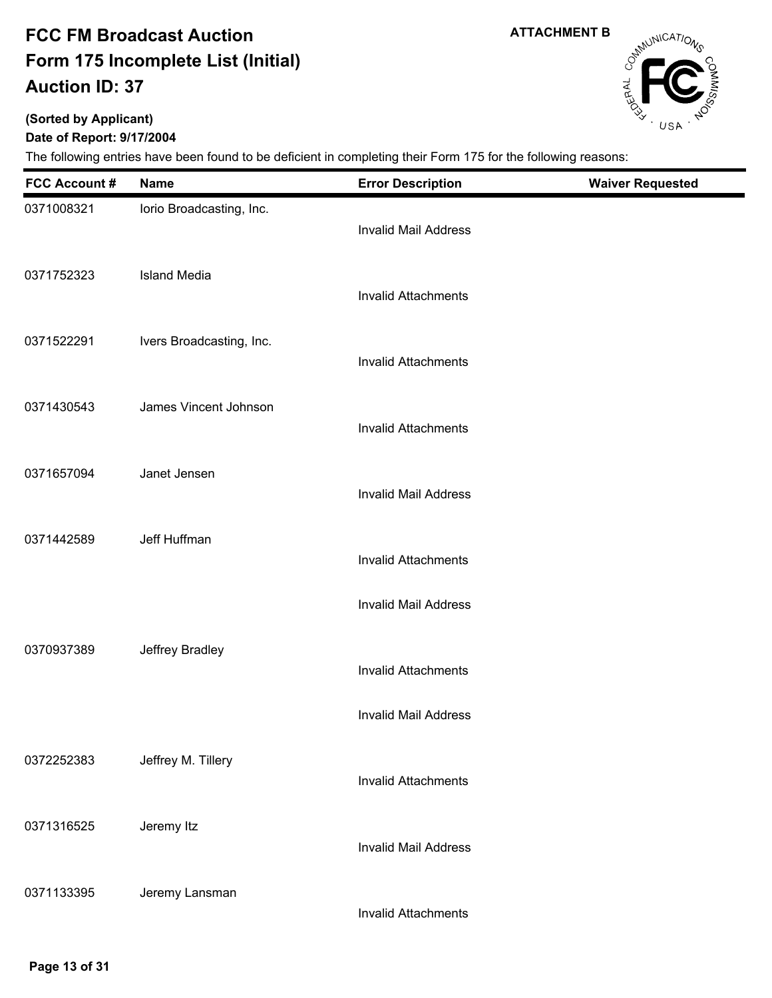**ATTACHMENT B**

# Campunications

### **(Sorted by Applicant)**

### **Date of Report: 9/17/2004**

| <b>FCC Account #</b> | <b>Name</b>              | <b>Error Description</b>    | <b>Waiver Requested</b> |
|----------------------|--------------------------|-----------------------------|-------------------------|
| 0371008321           | lorio Broadcasting, Inc. | <b>Invalid Mail Address</b> |                         |
| 0371752323           | <b>Island Media</b>      | <b>Invalid Attachments</b>  |                         |
| 0371522291           | Ivers Broadcasting, Inc. | <b>Invalid Attachments</b>  |                         |
| 0371430543           | James Vincent Johnson    | <b>Invalid Attachments</b>  |                         |
| 0371657094           | Janet Jensen             | <b>Invalid Mail Address</b> |                         |
| 0371442589           | Jeff Huffman             | <b>Invalid Attachments</b>  |                         |
|                      |                          | <b>Invalid Mail Address</b> |                         |
| 0370937389           | Jeffrey Bradley          | <b>Invalid Attachments</b>  |                         |
|                      |                          | <b>Invalid Mail Address</b> |                         |
| 0372252383           | Jeffrey M. Tillery       | <b>Invalid Attachments</b>  |                         |
| 0371316525           | Jeremy Itz               | <b>Invalid Mail Address</b> |                         |
| 0371133395           | Jeremy Lansman           | <b>Invalid Attachments</b>  |                         |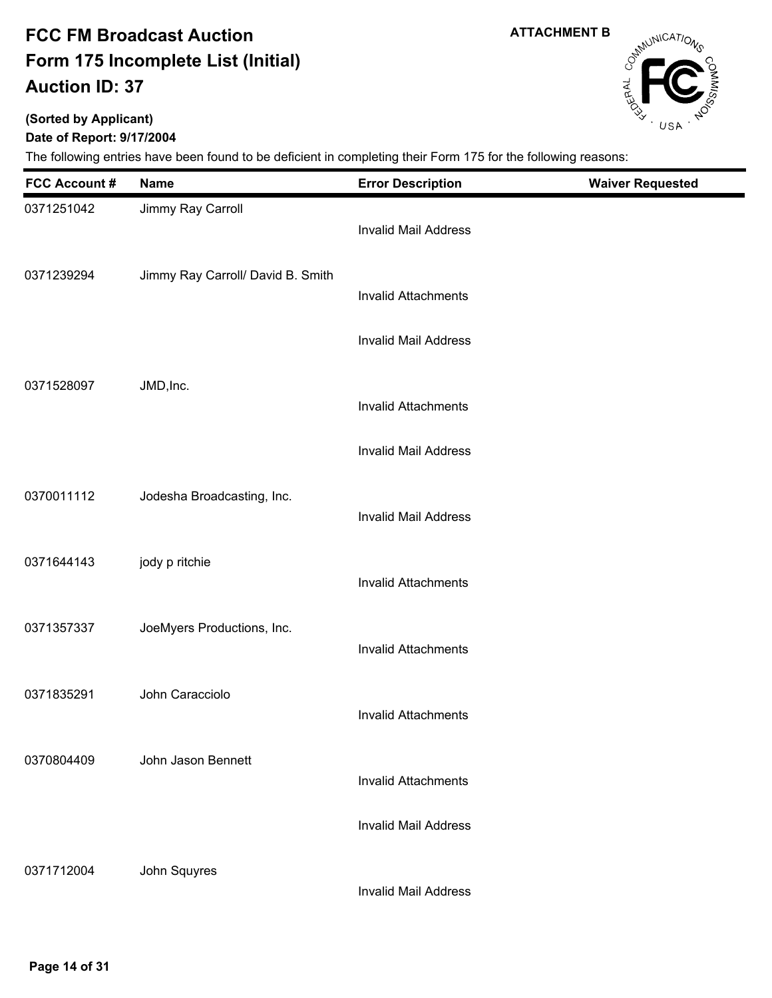**ATTACHMENT B**

# Campunications

## **(Sorted by Applicant)**

**Date of Report: 9/17/2004**

| <b>FCC Account#</b> | <b>Name</b>                       | <b>Error Description</b>    | <b>Waiver Requested</b> |
|---------------------|-----------------------------------|-----------------------------|-------------------------|
| 0371251042          | Jimmy Ray Carroll                 | <b>Invalid Mail Address</b> |                         |
| 0371239294          | Jimmy Ray Carroll/ David B. Smith | <b>Invalid Attachments</b>  |                         |
|                     |                                   | <b>Invalid Mail Address</b> |                         |
| 0371528097          | JMD, Inc.                         | <b>Invalid Attachments</b>  |                         |
|                     |                                   | <b>Invalid Mail Address</b> |                         |
| 0370011112          | Jodesha Broadcasting, Inc.        | <b>Invalid Mail Address</b> |                         |
| 0371644143          | jody p ritchie                    | <b>Invalid Attachments</b>  |                         |
| 0371357337          | JoeMyers Productions, Inc.        | <b>Invalid Attachments</b>  |                         |
| 0371835291          | John Caracciolo                   | <b>Invalid Attachments</b>  |                         |
| 0370804409          | John Jason Bennett                | <b>Invalid Attachments</b>  |                         |
|                     |                                   | <b>Invalid Mail Address</b> |                         |
| 0371712004          | John Squyres                      | <b>Invalid Mail Address</b> |                         |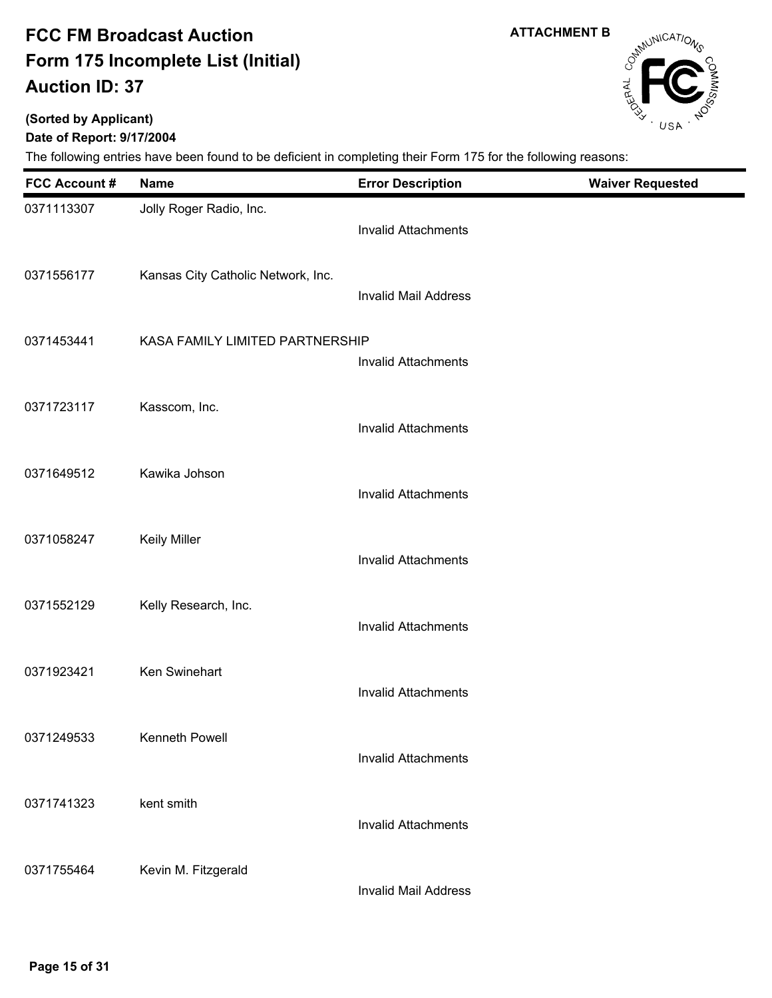**ATTACHMENT B**

# Campunications

## **(Sorted by Applicant)**

### **Date of Report: 9/17/2004**

| <b>FCC Account#</b> | <b>Name</b>                        | <b>Error Description</b>    | <b>Waiver Requested</b> |
|---------------------|------------------------------------|-----------------------------|-------------------------|
| 0371113307          | Jolly Roger Radio, Inc.            | <b>Invalid Attachments</b>  |                         |
| 0371556177          | Kansas City Catholic Network, Inc. | <b>Invalid Mail Address</b> |                         |
| 0371453441          | KASA FAMILY LIMITED PARTNERSHIP    | <b>Invalid Attachments</b>  |                         |
| 0371723117          | Kasscom, Inc.                      | <b>Invalid Attachments</b>  |                         |
| 0371649512          | Kawika Johson                      | <b>Invalid Attachments</b>  |                         |
| 0371058247          | <b>Keily Miller</b>                | <b>Invalid Attachments</b>  |                         |
| 0371552129          | Kelly Research, Inc.               | <b>Invalid Attachments</b>  |                         |
| 0371923421          | Ken Swinehart                      | <b>Invalid Attachments</b>  |                         |
| 0371249533          | Kenneth Powell                     | <b>Invalid Attachments</b>  |                         |
| 0371741323          | kent smith                         | <b>Invalid Attachments</b>  |                         |
| 0371755464          | Kevin M. Fitzgerald                | <b>Invalid Mail Address</b> |                         |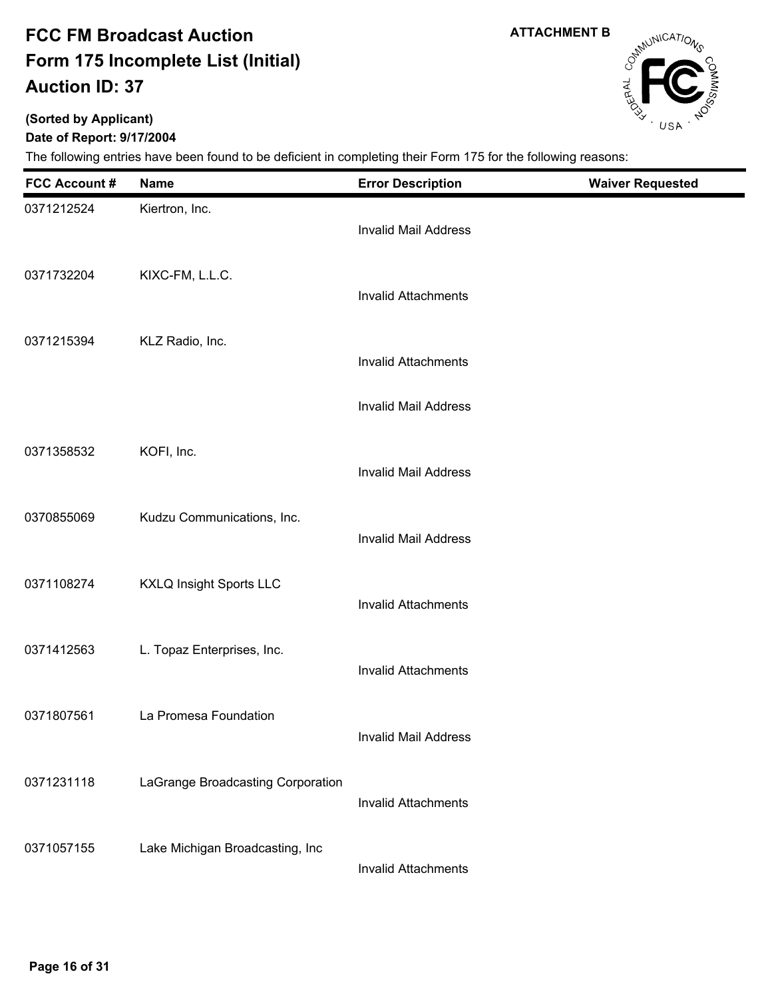**ATTACHMENT B**

# Campunications

٠

### **(Sorted by Applicant)**

**Date of Report: 9/17/2004**

| <b>FCC Account #</b> | <b>Name</b>                       | <b>Error Description</b>    | <b>Waiver Requested</b> |
|----------------------|-----------------------------------|-----------------------------|-------------------------|
| 0371212524           | Kiertron, Inc.                    | <b>Invalid Mail Address</b> |                         |
| 0371732204           | KIXC-FM, L.L.C.                   | <b>Invalid Attachments</b>  |                         |
| 0371215394           | KLZ Radio, Inc.                   | <b>Invalid Attachments</b>  |                         |
|                      |                                   | <b>Invalid Mail Address</b> |                         |
| 0371358532           | KOFI, Inc.                        | <b>Invalid Mail Address</b> |                         |
| 0370855069           | Kudzu Communications, Inc.        | <b>Invalid Mail Address</b> |                         |
| 0371108274           | <b>KXLQ Insight Sports LLC</b>    | <b>Invalid Attachments</b>  |                         |
| 0371412563           | L. Topaz Enterprises, Inc.        | <b>Invalid Attachments</b>  |                         |
| 0371807561           | La Promesa Foundation             | <b>Invalid Mail Address</b> |                         |
| 0371231118           | LaGrange Broadcasting Corporation | <b>Invalid Attachments</b>  |                         |
| 0371057155           | Lake Michigan Broadcasting, Inc   | <b>Invalid Attachments</b>  |                         |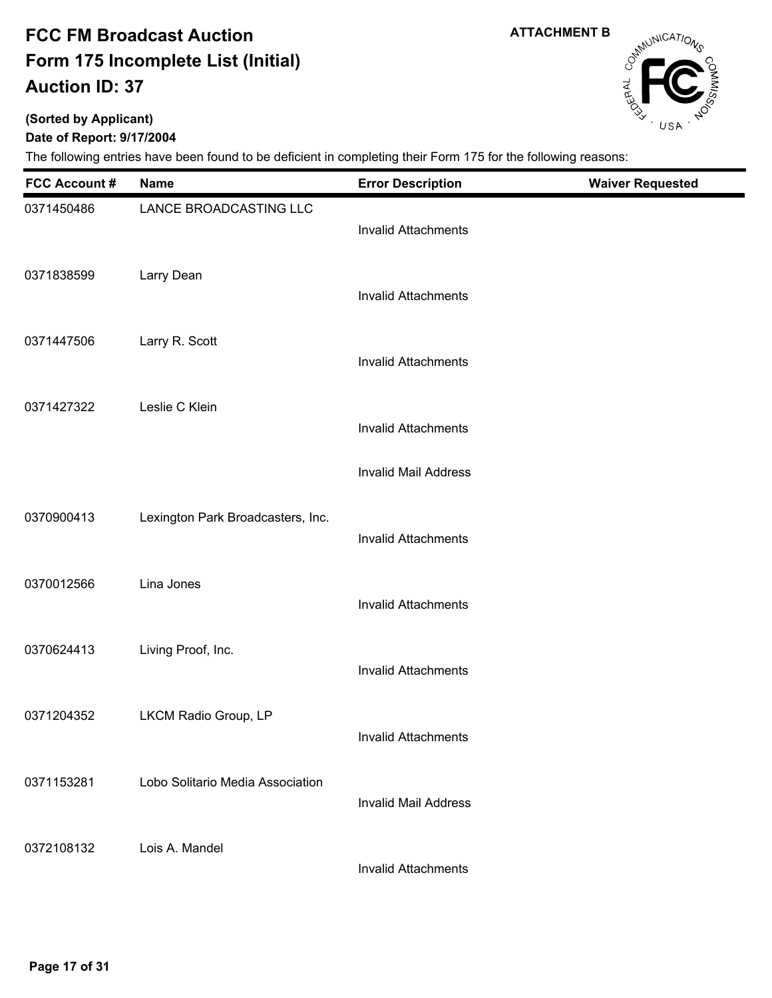**(Sorted by Applicant)**

### **Date of Report: 9/17/2004**

The following entries have been found to be deficient in completing their Form 175 for the following reasons:

| <b>FCC Account #</b> | <b>Name</b>                       | <b>Error Description</b>    | <b>Waiver Requested</b> |
|----------------------|-----------------------------------|-----------------------------|-------------------------|
| 0371450486           | LANCE BROADCASTING LLC            | <b>Invalid Attachments</b>  |                         |
| 0371838599           | Larry Dean                        | <b>Invalid Attachments</b>  |                         |
| 0371447506           | Larry R. Scott                    | <b>Invalid Attachments</b>  |                         |
| 0371427322           | Leslie C Klein                    | <b>Invalid Attachments</b>  |                         |
|                      |                                   | <b>Invalid Mail Address</b> |                         |
| 0370900413           | Lexington Park Broadcasters, Inc. | <b>Invalid Attachments</b>  |                         |
| 0370012566           | Lina Jones                        | <b>Invalid Attachments</b>  |                         |
| 0370624413           | Living Proof, Inc.                | <b>Invalid Attachments</b>  |                         |
| 0371204352           | LKCM Radio Group, LP              | Invalid Attachments         |                         |
| 0371153281           | Lobo Solitario Media Association  | <b>Invalid Mail Address</b> |                         |
| 0372108132           | Lois A. Mandel                    | <b>Invalid Attachments</b>  |                         |

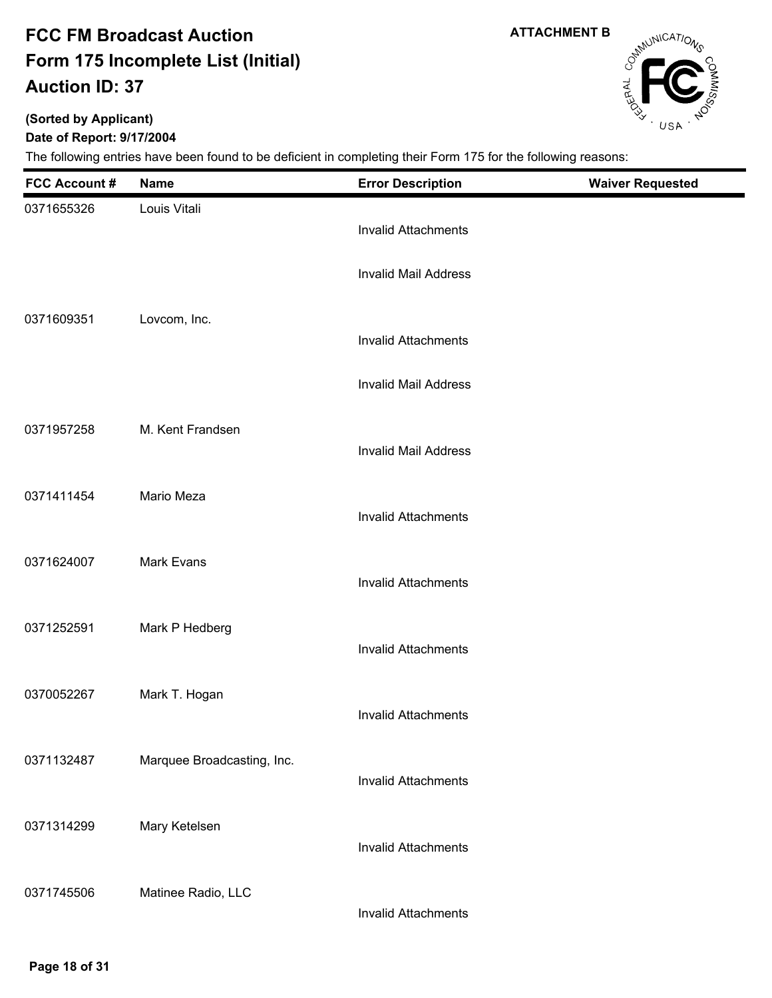**ATTACHMENT B**

# Campunications

### **(Sorted by Applicant)**

### **Date of Report: 9/17/2004**

| <b>FCC Account #</b> | <b>Name</b>                | <b>Error Description</b>    | <b>Waiver Requested</b> |
|----------------------|----------------------------|-----------------------------|-------------------------|
| 0371655326           | Louis Vitali               | <b>Invalid Attachments</b>  |                         |
|                      |                            | <b>Invalid Mail Address</b> |                         |
| 0371609351           | Lovcom, Inc.               | <b>Invalid Attachments</b>  |                         |
|                      |                            | <b>Invalid Mail Address</b> |                         |
| 0371957258           | M. Kent Frandsen           | <b>Invalid Mail Address</b> |                         |
| 0371411454           | Mario Meza                 | <b>Invalid Attachments</b>  |                         |
| 0371624007           | <b>Mark Evans</b>          | <b>Invalid Attachments</b>  |                         |
| 0371252591           | Mark P Hedberg             | <b>Invalid Attachments</b>  |                         |
| 0370052267           | Mark T. Hogan              | <b>Invalid Attachments</b>  |                         |
| 0371132487           | Marquee Broadcasting, Inc. | <b>Invalid Attachments</b>  |                         |
| 0371314299           | Mary Ketelsen              | <b>Invalid Attachments</b>  |                         |
| 0371745506           | Matinee Radio, LLC         | <b>Invalid Attachments</b>  |                         |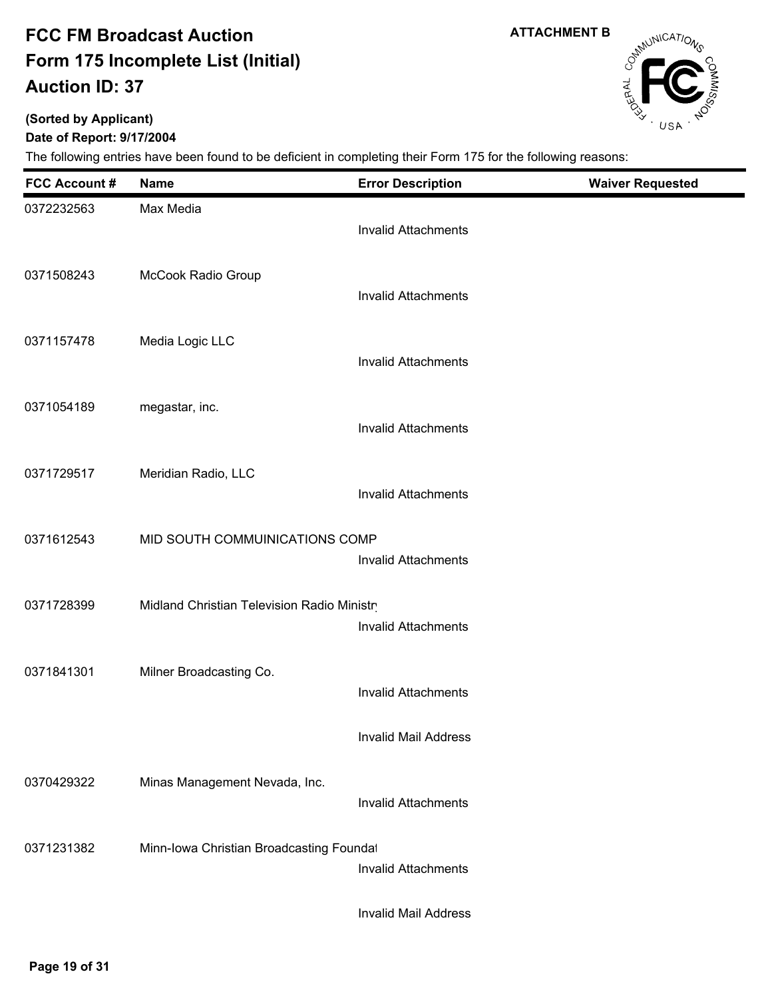**ATTACHMENT B**

# CampuniCATIONS

### **(Sorted by Applicant)**

### **Date of Report: 9/17/2004**

| <b>FCC Account #</b> | <b>Name</b>                                 | <b>Error Description</b>   | <b>Waiver Requested</b> |
|----------------------|---------------------------------------------|----------------------------|-------------------------|
| 0372232563           | Max Media                                   | <b>Invalid Attachments</b> |                         |
| 0371508243           | McCook Radio Group                          | <b>Invalid Attachments</b> |                         |
| 0371157478           | Media Logic LLC                             | <b>Invalid Attachments</b> |                         |
| 0371054189           | megastar, inc.                              | <b>Invalid Attachments</b> |                         |
| 0371729517           | Meridian Radio, LLC                         | <b>Invalid Attachments</b> |                         |
| 0371612543           | MID SOUTH COMMUINICATIONS COMP              | <b>Invalid Attachments</b> |                         |
| 0371728399           | Midland Christian Television Radio Ministry | <b>Invalid Attachments</b> |                         |
| 0371841301           | Milner Broadcasting Co.                     | <b>Invalid Attachments</b> |                         |
|                      |                                             | Invalid Mail Address       |                         |
| 0370429322           | Minas Management Nevada, Inc.               | <b>Invalid Attachments</b> |                         |
| 0371231382           | Minn-Iowa Christian Broadcasting Foundat    | <b>Invalid Attachments</b> |                         |
|                      |                                             | Invalid Mail Address       |                         |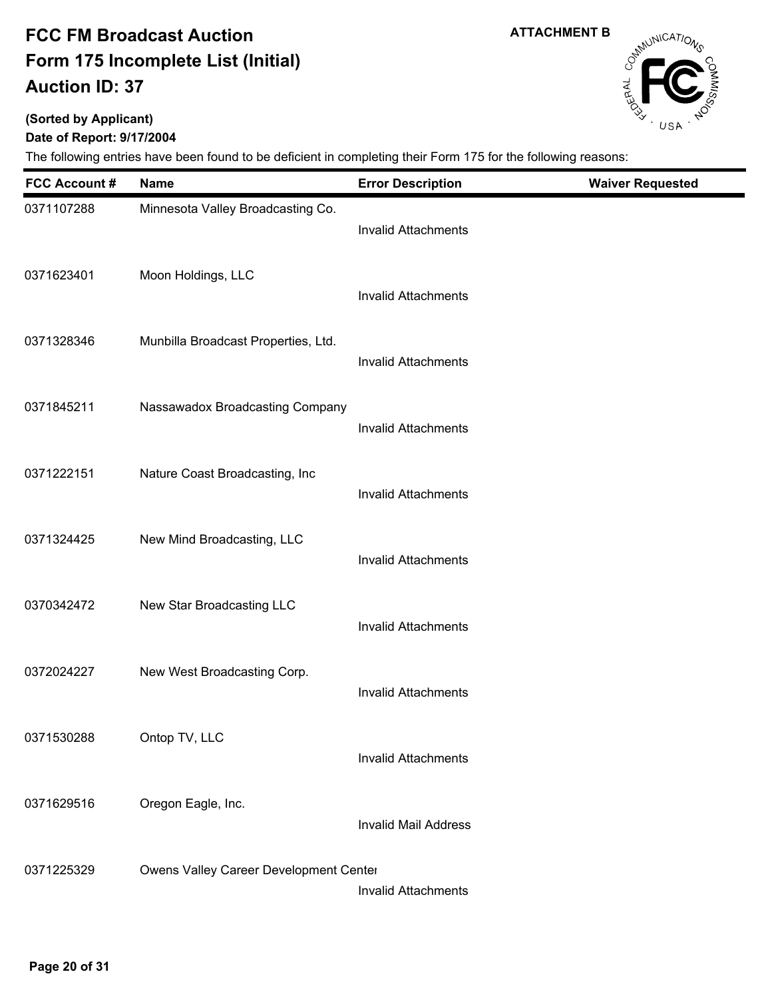**(Sorted by Applicant)**

### **Date of Report: 9/17/2004**

| <b>FCC Account #</b> | <b>Name</b>                            | <b>Error Description</b>    | <b>Waiver Requested</b> |
|----------------------|----------------------------------------|-----------------------------|-------------------------|
| 0371107288           | Minnesota Valley Broadcasting Co.      | <b>Invalid Attachments</b>  |                         |
| 0371623401           | Moon Holdings, LLC                     | <b>Invalid Attachments</b>  |                         |
| 0371328346           | Munbilla Broadcast Properties, Ltd.    | <b>Invalid Attachments</b>  |                         |
| 0371845211           | Nassawadox Broadcasting Company        | <b>Invalid Attachments</b>  |                         |
| 0371222151           | Nature Coast Broadcasting, Inc         | <b>Invalid Attachments</b>  |                         |
| 0371324425           | New Mind Broadcasting, LLC             | <b>Invalid Attachments</b>  |                         |
| 0370342472           | New Star Broadcasting LLC              | <b>Invalid Attachments</b>  |                         |
| 0372024227           | New West Broadcasting Corp.            | <b>Invalid Attachments</b>  |                         |
| 0371530288           | Ontop TV, LLC                          | <b>Invalid Attachments</b>  |                         |
| 0371629516           | Oregon Eagle, Inc.                     | <b>Invalid Mail Address</b> |                         |
| 0371225329           | Owens Valley Career Development Center | <b>Invalid Attachments</b>  |                         |



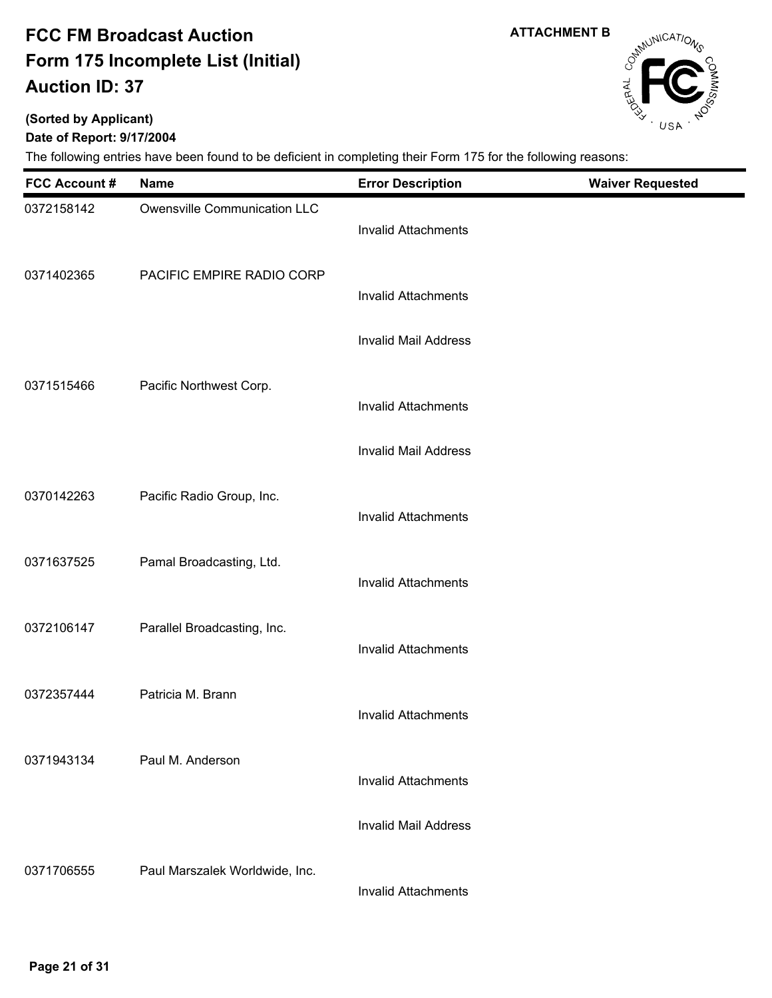**(Sorted by Applicant)**

### **Date of Report: 9/17/2004**

The following entries have been found to be deficient in completing their Form 175 for the following reasons:

| <b>FCC Account #</b> | <b>Name</b>                    | <b>Error Description</b>    | <b>Waiver Requested</b> |
|----------------------|--------------------------------|-----------------------------|-------------------------|
| 0372158142           | Owensville Communication LLC   | <b>Invalid Attachments</b>  |                         |
| 0371402365           | PACIFIC EMPIRE RADIO CORP      | <b>Invalid Attachments</b>  |                         |
|                      |                                | <b>Invalid Mail Address</b> |                         |
| 0371515466           | Pacific Northwest Corp.        | <b>Invalid Attachments</b>  |                         |
|                      |                                | <b>Invalid Mail Address</b> |                         |
| 0370142263           | Pacific Radio Group, Inc.      | <b>Invalid Attachments</b>  |                         |
| 0371637525           | Pamal Broadcasting, Ltd.       | <b>Invalid Attachments</b>  |                         |
| 0372106147           | Parallel Broadcasting, Inc.    | <b>Invalid Attachments</b>  |                         |
| 0372357444           | Patricia M. Brann              | <b>Invalid Attachments</b>  |                         |
| 0371943134           | Paul M. Anderson               | <b>Invalid Attachments</b>  |                         |
|                      |                                | <b>Invalid Mail Address</b> |                         |
| 0371706555           | Paul Marszalek Worldwide, Inc. | <b>Invalid Attachments</b>  |                         |

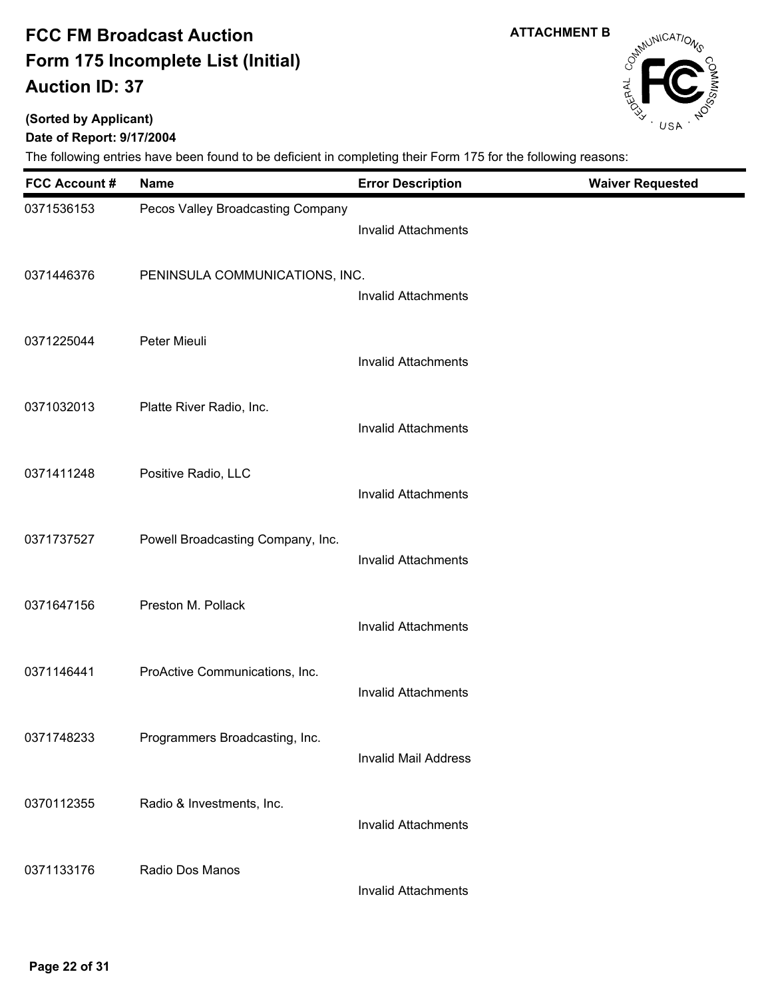**(Sorted by Applicant)**

### **Date of Report: 9/17/2004**

| <b>FCC Account #</b> | <b>Name</b>                       | <b>Error Description</b>    | <b>Waiver Requested</b> |
|----------------------|-----------------------------------|-----------------------------|-------------------------|
| 0371536153           | Pecos Valley Broadcasting Company | <b>Invalid Attachments</b>  |                         |
| 0371446376           | PENINSULA COMMUNICATIONS, INC.    | <b>Invalid Attachments</b>  |                         |
| 0371225044           | Peter Mieuli                      | <b>Invalid Attachments</b>  |                         |
| 0371032013           | Platte River Radio, Inc.          | <b>Invalid Attachments</b>  |                         |
| 0371411248           | Positive Radio, LLC               | <b>Invalid Attachments</b>  |                         |
| 0371737527           | Powell Broadcasting Company, Inc. | <b>Invalid Attachments</b>  |                         |
| 0371647156           | Preston M. Pollack                | <b>Invalid Attachments</b>  |                         |
| 0371146441           | ProActive Communications, Inc.    | <b>Invalid Attachments</b>  |                         |
| 0371748233           | Programmers Broadcasting, Inc.    | <b>Invalid Mail Address</b> |                         |
| 0370112355           | Radio & Investments, Inc.         | <b>Invalid Attachments</b>  |                         |
| 0371133176           | Radio Dos Manos                   | <b>Invalid Attachments</b>  |                         |



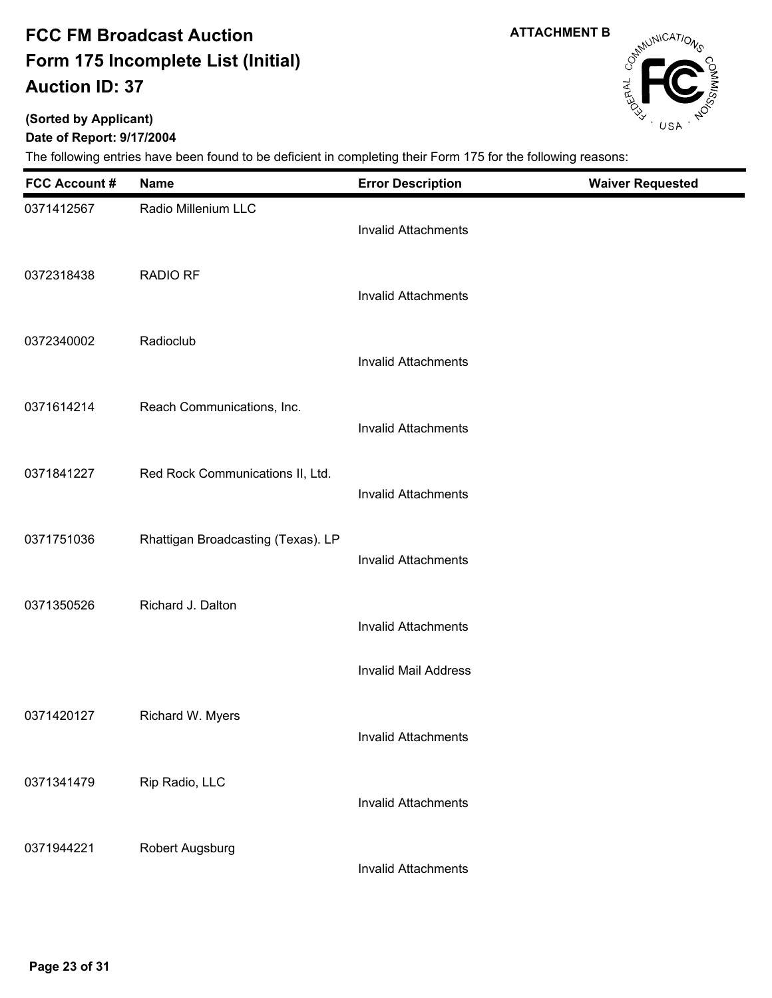**ATTACHMENT B**

# Campunications

٠

## **(Sorted by Applicant)**

**Date of Report: 9/17/2004**

| <b>FCC Account #</b> | <b>Name</b>                        | <b>Error Description</b>    | <b>Waiver Requested</b> |
|----------------------|------------------------------------|-----------------------------|-------------------------|
| 0371412567           | Radio Millenium LLC                | <b>Invalid Attachments</b>  |                         |
| 0372318438           | <b>RADIO RF</b>                    | <b>Invalid Attachments</b>  |                         |
| 0372340002           | Radioclub                          | <b>Invalid Attachments</b>  |                         |
| 0371614214           | Reach Communications, Inc.         | <b>Invalid Attachments</b>  |                         |
| 0371841227           | Red Rock Communications II, Ltd.   | <b>Invalid Attachments</b>  |                         |
| 0371751036           | Rhattigan Broadcasting (Texas). LP | <b>Invalid Attachments</b>  |                         |
| 0371350526           | Richard J. Dalton                  | <b>Invalid Attachments</b>  |                         |
|                      |                                    | <b>Invalid Mail Address</b> |                         |
| 0371420127           | Richard W. Myers                   | Invalid Attachments         |                         |
| 0371341479           | Rip Radio, LLC                     | <b>Invalid Attachments</b>  |                         |
| 0371944221           | Robert Augsburg                    | <b>Invalid Attachments</b>  |                         |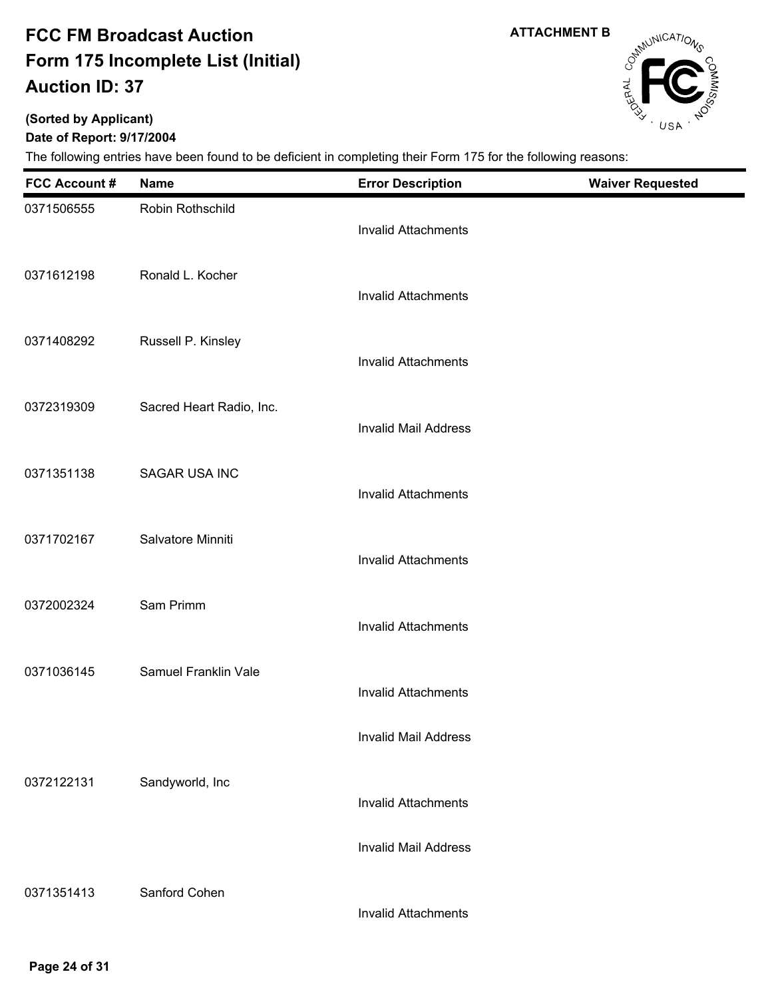**ATTACHMENT B**

# Campunications

### **(Sorted by Applicant)**

**Date of Report: 9/17/2004**

| <b>FCC Account #</b> | <b>Name</b>              | <b>Error Description</b>    | <b>Waiver Requested</b> |
|----------------------|--------------------------|-----------------------------|-------------------------|
| 0371506555           | Robin Rothschild         | <b>Invalid Attachments</b>  |                         |
| 0371612198           | Ronald L. Kocher         | <b>Invalid Attachments</b>  |                         |
| 0371408292           | Russell P. Kinsley       | <b>Invalid Attachments</b>  |                         |
| 0372319309           | Sacred Heart Radio, Inc. | <b>Invalid Mail Address</b> |                         |
| 0371351138           | <b>SAGAR USA INC</b>     | <b>Invalid Attachments</b>  |                         |
| 0371702167           | Salvatore Minniti        | <b>Invalid Attachments</b>  |                         |
| 0372002324           | Sam Primm                | <b>Invalid Attachments</b>  |                         |
| 0371036145           | Samuel Franklin Vale     | <b>Invalid Attachments</b>  |                         |
|                      |                          | <b>Invalid Mail Address</b> |                         |
| 0372122131           | Sandyworld, Inc          | <b>Invalid Attachments</b>  |                         |
|                      |                          | <b>Invalid Mail Address</b> |                         |
| 0371351413           | Sanford Cohen            | <b>Invalid Attachments</b>  |                         |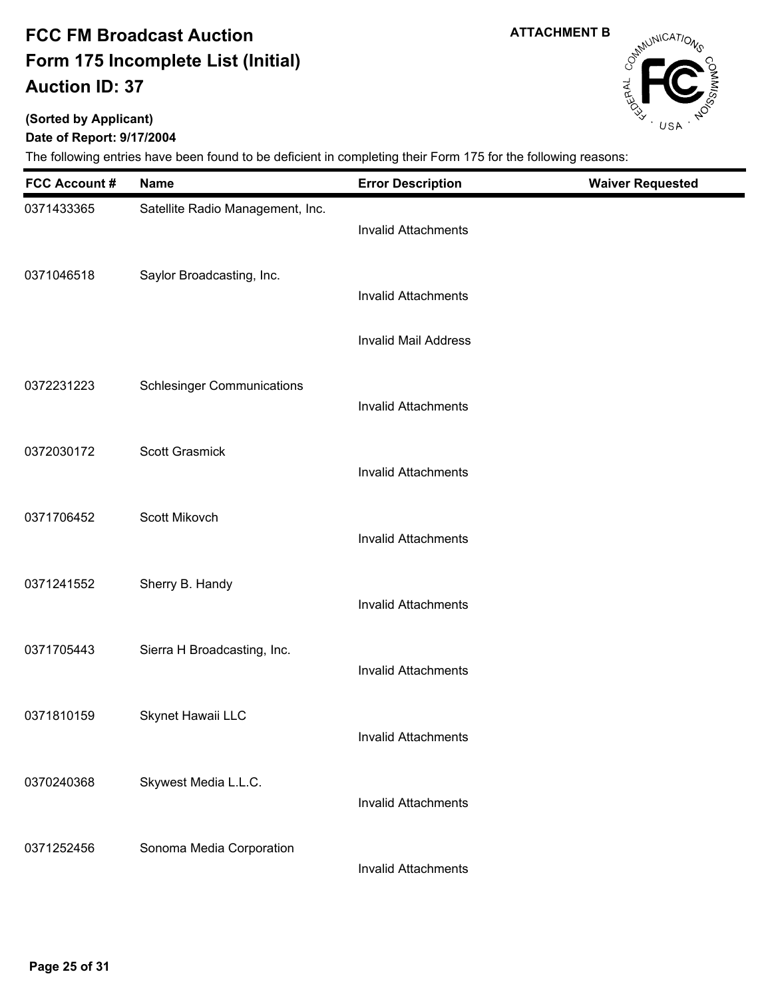**(Sorted by Applicant)**

### **Date of Report: 9/17/2004**

The following entries have been found to be deficient in completing their Form 175 for the following reasons:

| <b>FCC Account #</b> | <b>Name</b>                       | <b>Error Description</b>    | <b>Waiver Requested</b> |
|----------------------|-----------------------------------|-----------------------------|-------------------------|
| 0371433365           | Satellite Radio Management, Inc.  | <b>Invalid Attachments</b>  |                         |
| 0371046518           | Saylor Broadcasting, Inc.         | <b>Invalid Attachments</b>  |                         |
|                      |                                   | <b>Invalid Mail Address</b> |                         |
| 0372231223           | <b>Schlesinger Communications</b> | <b>Invalid Attachments</b>  |                         |
| 0372030172           | <b>Scott Grasmick</b>             | <b>Invalid Attachments</b>  |                         |
| 0371706452           | Scott Mikovch                     | <b>Invalid Attachments</b>  |                         |
| 0371241552           | Sherry B. Handy                   | <b>Invalid Attachments</b>  |                         |
| 0371705443           | Sierra H Broadcasting, Inc.       | <b>Invalid Attachments</b>  |                         |
| 0371810159           | Skynet Hawaii LLC                 | Invalid Attachments         |                         |
| 0370240368           | Skywest Media L.L.C.              | <b>Invalid Attachments</b>  |                         |
| 0371252456           | Sonoma Media Corporation          | <b>Invalid Attachments</b>  |                         |

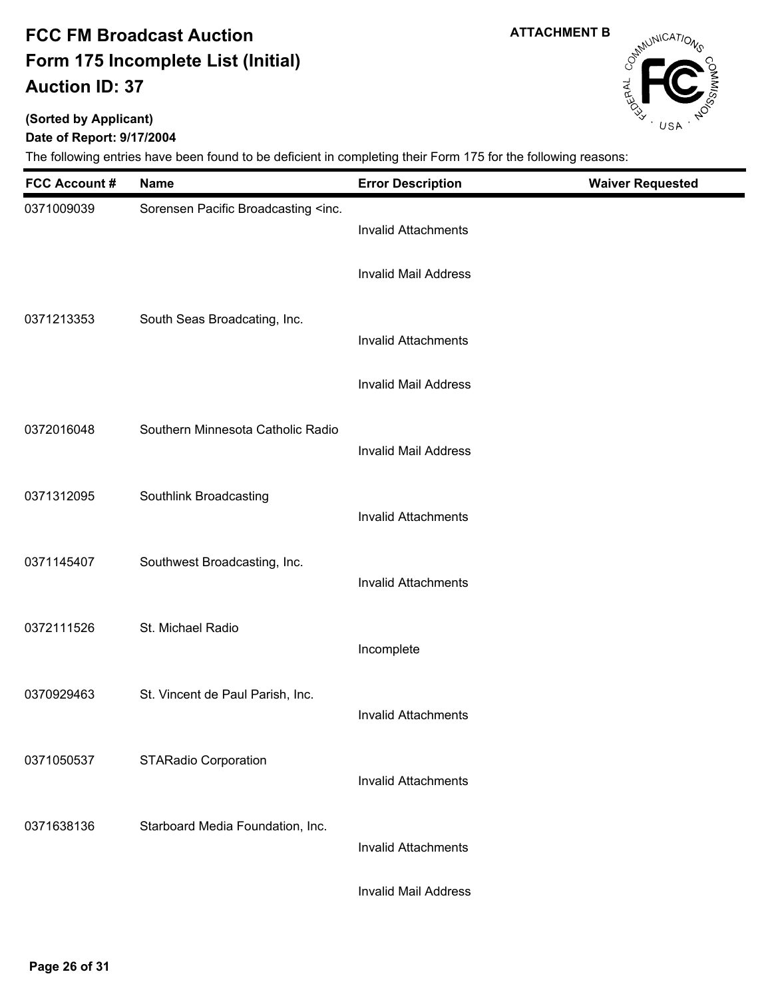**(Sorted by Applicant)**

### **Date of Report: 9/17/2004**

| <b>FCC Account#</b> | <b>Name</b>                                                                                     | <b>Error Description</b>    | <b>Waiver Requested</b> |
|---------------------|-------------------------------------------------------------------------------------------------|-----------------------------|-------------------------|
| 0371009039          | Sorensen Pacific Broadcasting <inc.< td=""><td><b>Invalid Attachments</b></td><td></td></inc.<> | <b>Invalid Attachments</b>  |                         |
|                     |                                                                                                 | <b>Invalid Mail Address</b> |                         |
| 0371213353          | South Seas Broadcating, Inc.                                                                    | <b>Invalid Attachments</b>  |                         |
|                     |                                                                                                 | <b>Invalid Mail Address</b> |                         |
| 0372016048          | Southern Minnesota Catholic Radio                                                               | <b>Invalid Mail Address</b> |                         |
| 0371312095          | Southlink Broadcasting                                                                          | <b>Invalid Attachments</b>  |                         |
| 0371145407          | Southwest Broadcasting, Inc.                                                                    | <b>Invalid Attachments</b>  |                         |
| 0372111526          | St. Michael Radio                                                                               | Incomplete                  |                         |
| 0370929463          | St. Vincent de Paul Parish, Inc.                                                                |                             |                         |
|                     |                                                                                                 | <b>Invalid Attachments</b>  |                         |
| 0371050537          | <b>STARadio Corporation</b>                                                                     | <b>Invalid Attachments</b>  |                         |
| 0371638136          | Starboard Media Foundation, Inc.                                                                | <b>Invalid Attachments</b>  |                         |
|                     |                                                                                                 | <b>Invalid Mail Address</b> |                         |



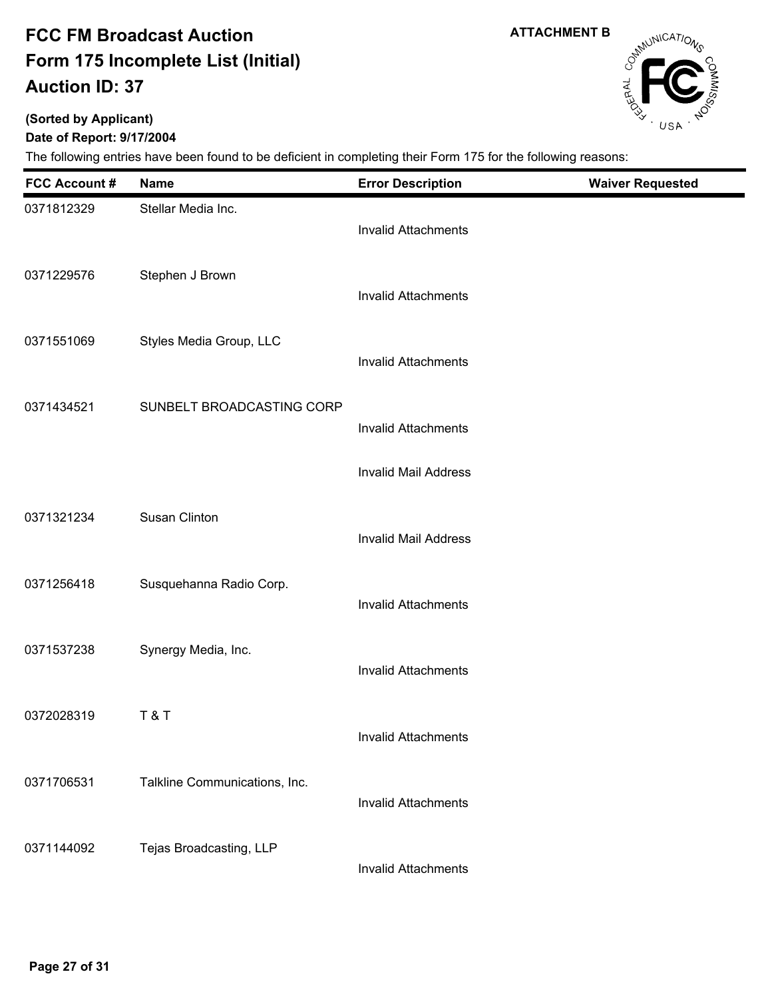**ATTACHMENT B**

# CampuniCATIONS

## **(Sorted by Applicant)**

**Date of Report: 9/17/2004**

| <b>FCC Account #</b> | <b>Name</b>                   | <b>Error Description</b>    | <b>Waiver Requested</b> |
|----------------------|-------------------------------|-----------------------------|-------------------------|
| 0371812329           | Stellar Media Inc.            | <b>Invalid Attachments</b>  |                         |
| 0371229576           | Stephen J Brown               | <b>Invalid Attachments</b>  |                         |
| 0371551069           | Styles Media Group, LLC       | <b>Invalid Attachments</b>  |                         |
| 0371434521           | SUNBELT BROADCASTING CORP     | <b>Invalid Attachments</b>  |                         |
|                      |                               | <b>Invalid Mail Address</b> |                         |
| 0371321234           | Susan Clinton                 | <b>Invalid Mail Address</b> |                         |
| 0371256418           | Susquehanna Radio Corp.       | <b>Invalid Attachments</b>  |                         |
| 0371537238           | Synergy Media, Inc.           | <b>Invalid Attachments</b>  |                         |
| 0372028319           | T&T                           | Invalid Attachments         |                         |
| 0371706531           | Talkline Communications, Inc. | <b>Invalid Attachments</b>  |                         |
| 0371144092           | Tejas Broadcasting, LLP       | <b>Invalid Attachments</b>  |                         |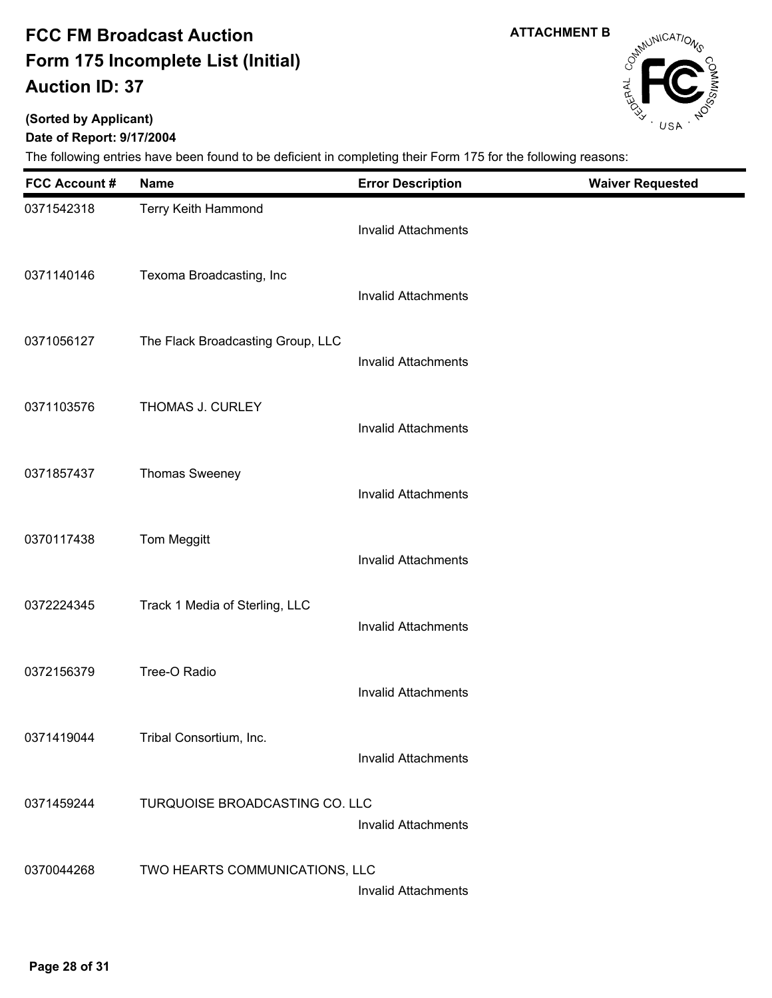**ATTACHMENT B**

# Campunications

### **(Sorted by Applicant)**

### **Date of Report: 9/17/2004**

| <b>FCC Account#</b> | <b>Name</b>                       | <b>Error Description</b>   | <b>Waiver Requested</b> |
|---------------------|-----------------------------------|----------------------------|-------------------------|
| 0371542318          | Terry Keith Hammond               | <b>Invalid Attachments</b> |                         |
| 0371140146          | Texoma Broadcasting, Inc          | <b>Invalid Attachments</b> |                         |
| 0371056127          | The Flack Broadcasting Group, LLC | <b>Invalid Attachments</b> |                         |
| 0371103576          | THOMAS J. CURLEY                  | <b>Invalid Attachments</b> |                         |
| 0371857437          | <b>Thomas Sweeney</b>             | <b>Invalid Attachments</b> |                         |
| 0370117438          | Tom Meggitt                       | <b>Invalid Attachments</b> |                         |
| 0372224345          | Track 1 Media of Sterling, LLC    | <b>Invalid Attachments</b> |                         |
| 0372156379          | Tree-O Radio                      | <b>Invalid Attachments</b> |                         |
| 0371419044          | Tribal Consortium, Inc.           | <b>Invalid Attachments</b> |                         |
| 0371459244          | TURQUOISE BROADCASTING CO. LLC    | <b>Invalid Attachments</b> |                         |
| 0370044268          | TWO HEARTS COMMUNICATIONS, LLC    | <b>Invalid Attachments</b> |                         |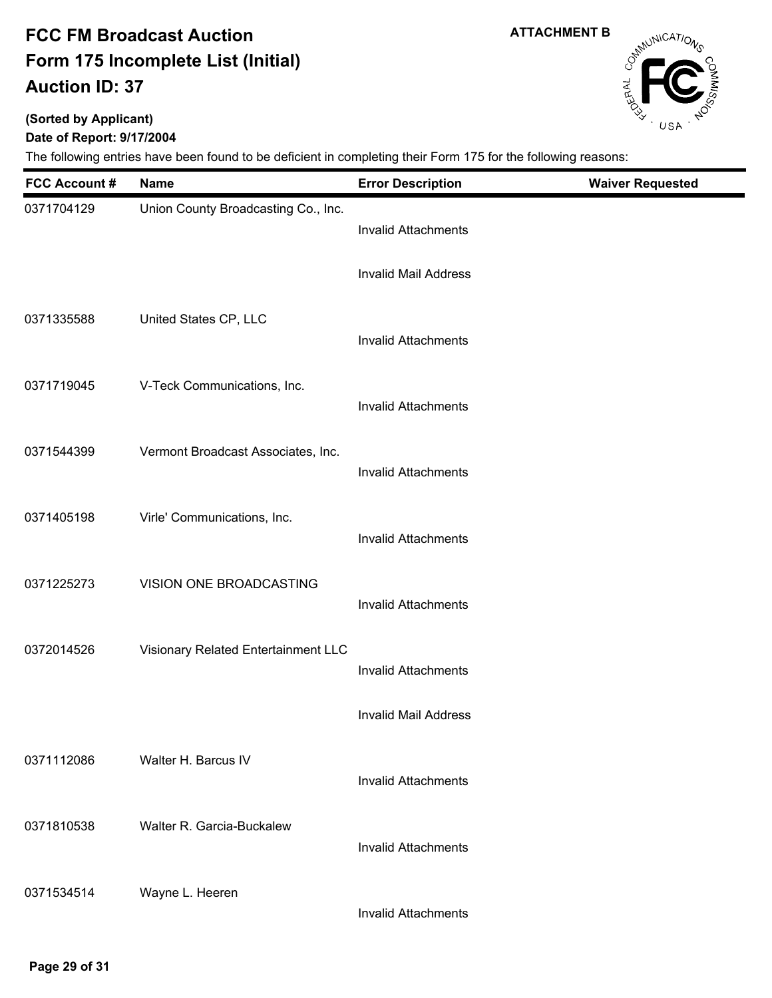**(Sorted by Applicant)**

### **Date of Report: 9/17/2004**

The following entries have been found to be deficient in completing their Form 175 for the following reasons:

| <b>FCC Account #</b> | <b>Name</b>                         | <b>Error Description</b>    | <b>Waiver Requested</b> |
|----------------------|-------------------------------------|-----------------------------|-------------------------|
| 0371704129           | Union County Broadcasting Co., Inc. | <b>Invalid Attachments</b>  |                         |
|                      |                                     | <b>Invalid Mail Address</b> |                         |
| 0371335588           | United States CP, LLC               | <b>Invalid Attachments</b>  |                         |
| 0371719045           | V-Teck Communications, Inc.         | <b>Invalid Attachments</b>  |                         |
| 0371544399           | Vermont Broadcast Associates, Inc.  | <b>Invalid Attachments</b>  |                         |
| 0371405198           | Virle' Communications, Inc.         | <b>Invalid Attachments</b>  |                         |
| 0371225273           | VISION ONE BROADCASTING             | <b>Invalid Attachments</b>  |                         |
| 0372014526           | Visionary Related Entertainment LLC | <b>Invalid Attachments</b>  |                         |
|                      |                                     | <b>Invalid Mail Address</b> |                         |
| 0371112086           | Walter H. Barcus IV                 | <b>Invalid Attachments</b>  |                         |
| 0371810538           | Walter R. Garcia-Buckalew           | <b>Invalid Attachments</b>  |                         |
| 0371534514           | Wayne L. Heeren                     | <b>Invalid Attachments</b>  |                         |

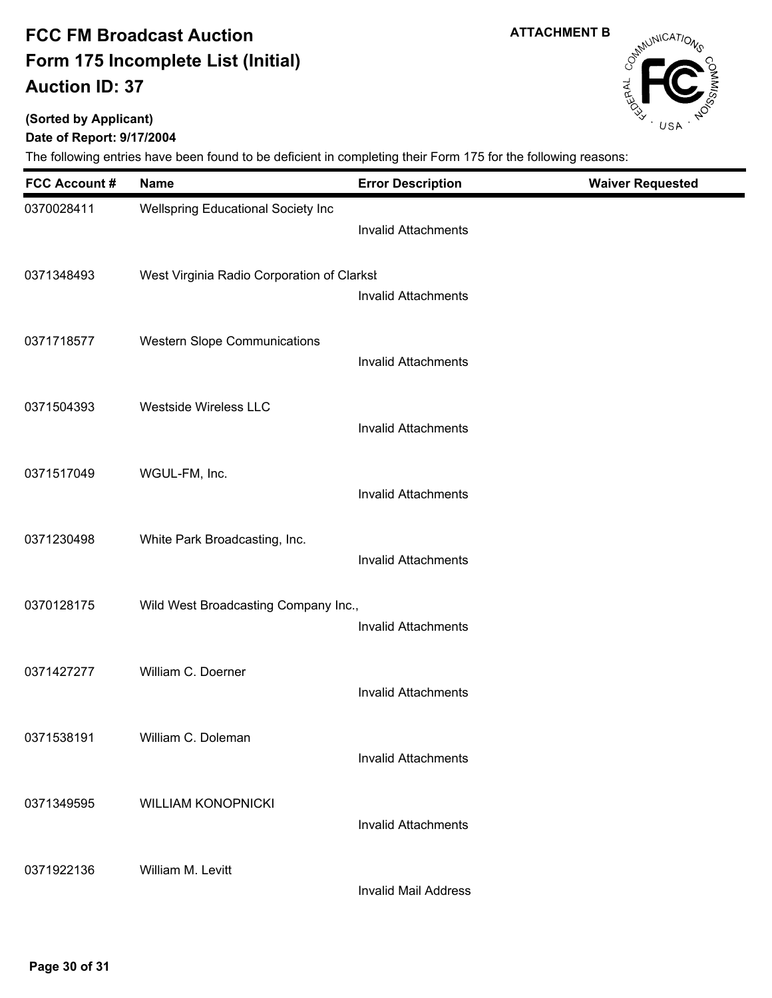**(Sorted by Applicant)**

### **Date of Report: 9/17/2004**

| <b>FCC Account#</b> | <b>Name</b>                                | <b>Error Description</b>    | <b>Waiver Requested</b> |
|---------------------|--------------------------------------------|-----------------------------|-------------------------|
| 0370028411          | Wellspring Educational Society Inc         | <b>Invalid Attachments</b>  |                         |
| 0371348493          | West Virginia Radio Corporation of Clarksl | <b>Invalid Attachments</b>  |                         |
| 0371718577          | <b>Western Slope Communications</b>        | <b>Invalid Attachments</b>  |                         |
| 0371504393          | <b>Westside Wireless LLC</b>               | <b>Invalid Attachments</b>  |                         |
| 0371517049          | WGUL-FM, Inc.                              | <b>Invalid Attachments</b>  |                         |
| 0371230498          | White Park Broadcasting, Inc.              | <b>Invalid Attachments</b>  |                         |
| 0370128175          | Wild West Broadcasting Company Inc.,       | <b>Invalid Attachments</b>  |                         |
| 0371427277          | William C. Doerner                         | <b>Invalid Attachments</b>  |                         |
| 0371538191          | William C. Doleman                         | <b>Invalid Attachments</b>  |                         |
| 0371349595          | <b>WILLIAM KONOPNICKI</b>                  | <b>Invalid Attachments</b>  |                         |
| 0371922136          | William M. Levitt                          | <b>Invalid Mail Address</b> |                         |